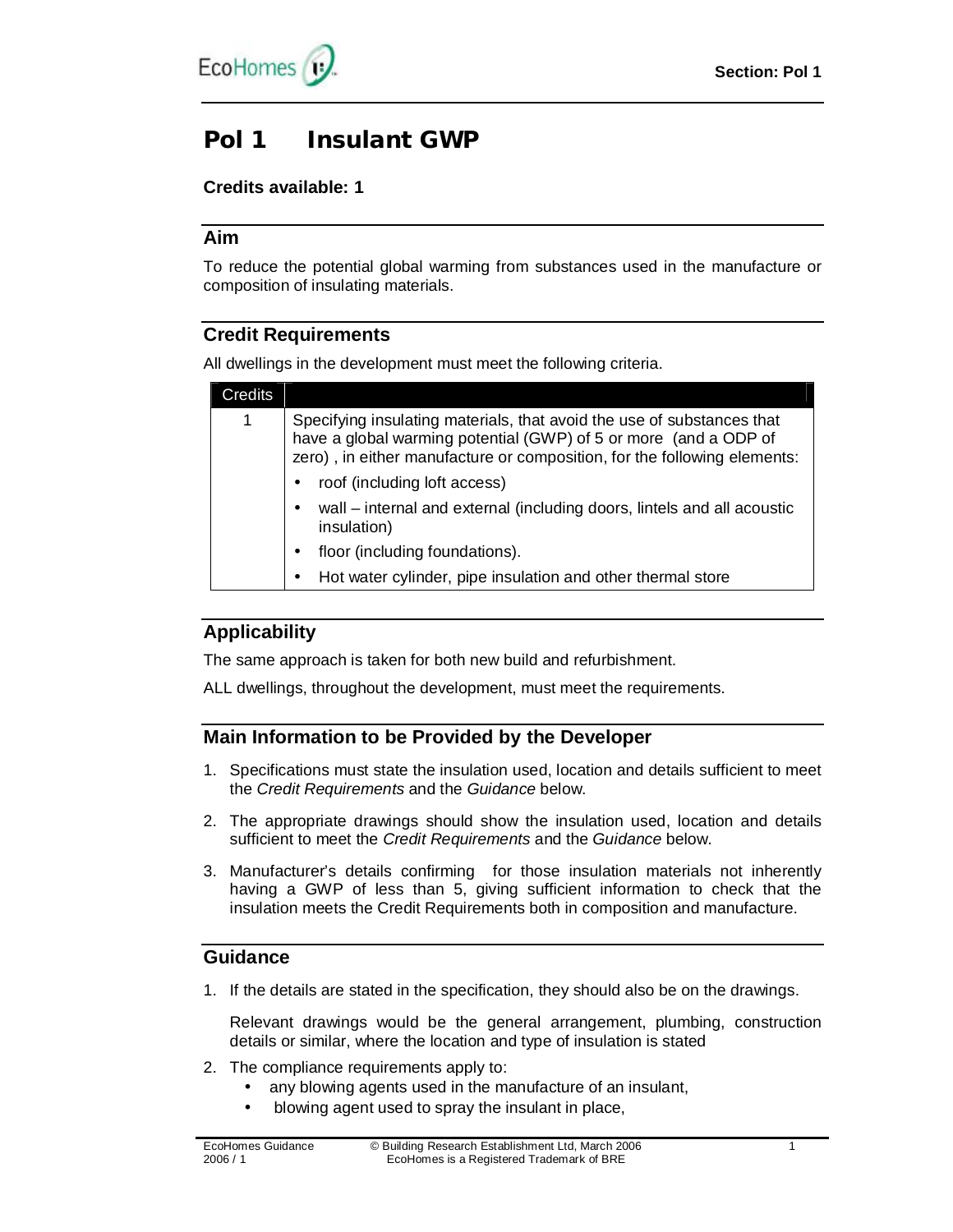# **Pol 1 Insulant GWP**

# **Credits available: 1**

## **Aim**

To reduce the potential global warming from substances used in the manufacture or composition of insulating materials.

# **Credit Requirements**

All dwellings in the development must meet the following criteria.

| Credits |                                                                                                                                                                                                                                                        |
|---------|--------------------------------------------------------------------------------------------------------------------------------------------------------------------------------------------------------------------------------------------------------|
| 1       | Specifying insulating materials, that avoid the use of substances that<br>have a global warming potential (GWP) of 5 or more (and a ODP of<br>zero), in either manufacture or composition, for the following elements:<br>roof (including loft access) |
|         | wall – internal and external (including doors, lintels and all acoustic<br>insulation)                                                                                                                                                                 |
|         | floor (including foundations).                                                                                                                                                                                                                         |
|         | Hot water cylinder, pipe insulation and other thermal store                                                                                                                                                                                            |

# **Applicability**

The same approach is taken for both new build and refurbishment.

ALL dwellings, throughout the development, must meet the requirements.

# **Main Information to be Provided by the Developer**

- 1. Specifications must state the insulation used, location and details sufficient to meet the *Credit Requirements* and the *Guidance* below.
- 2. The appropriate drawings should show the insulation used, location and details sufficient to meet the *Credit Requirements* and the *Guidance* below.
- 3. Manufacturer's details confirming for those insulation materials not inherently having a GWP of less than 5, giving sufficient information to check that the insulation meets the Credit Requirements both in composition and manufacture.

## **Guidance**

1. If the details are stated in the specification, they should also be on the drawings.

Relevant drawings would be the general arrangement, plumbing, construction details or similar, where the location and type of insulation is stated

- 2. The compliance requirements apply to:
	- any blowing agents used in the manufacture of an insulant,
	- blowing agent used to spray the insulant in place,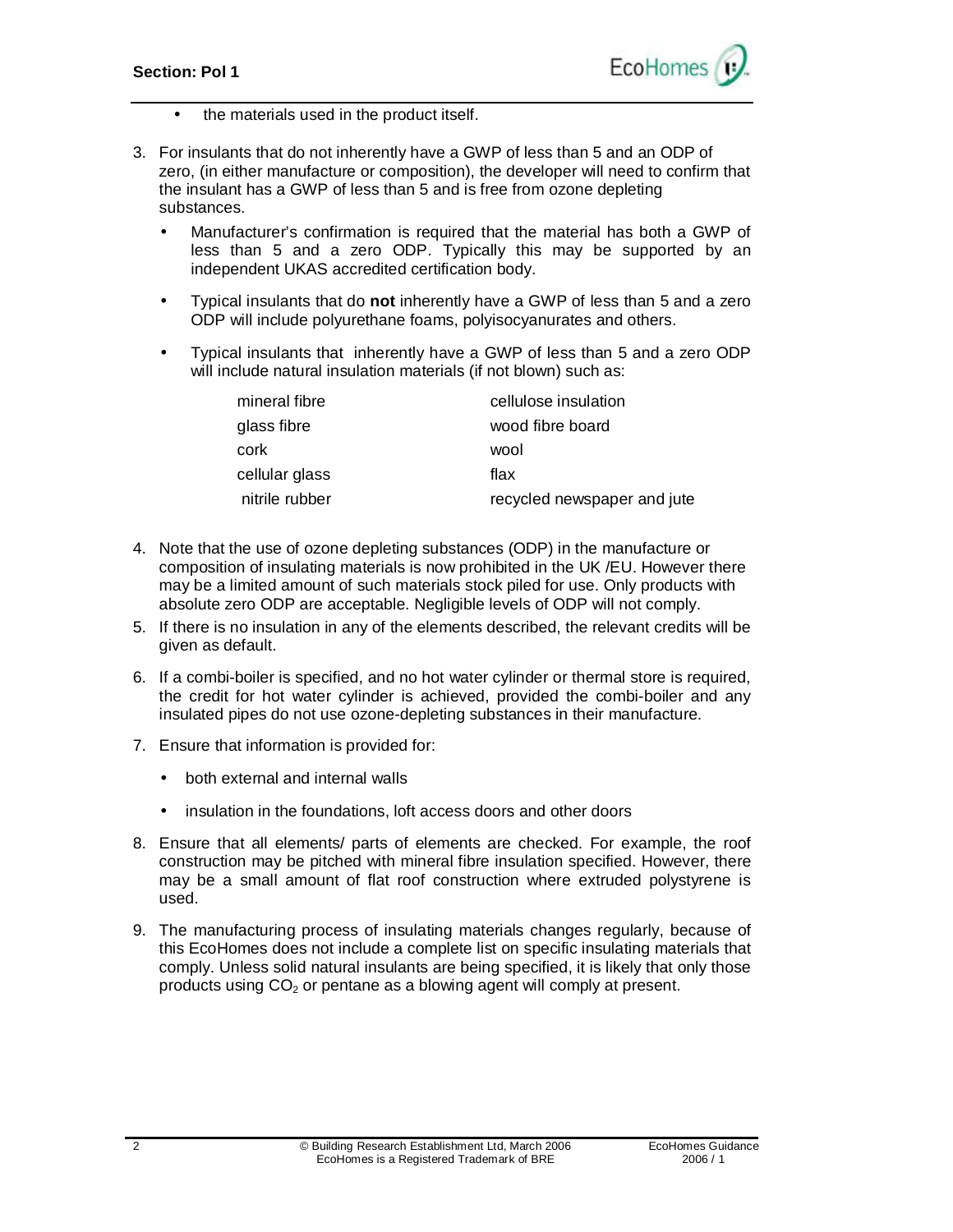

- the materials used in the product itself.
- 3. For insulants that do not inherently have a GWP of less than 5 and an ODP of zero, (in either manufacture or composition), the developer will need to confirm that the insulant has a GWP of less than 5 and is free from ozone depleting substances.
	- Manufacturer's confirmation is required that the material has both a GWP of less than 5 and a zero ODP. Typically this may be supported by an independent UKAS accredited certification body.
	- Typical insulants that do **not** inherently have a GWP of less than 5 and a zero ODP will include polyurethane foams, polyisocyanurates and others.
	- Typical insulants that inherently have a GWP of less than 5 and a zero ODP will include natural insulation materials (if not blown) such as:

| mineral fibre  | cellulose insulation        |
|----------------|-----------------------------|
| glass fibre    | wood fibre board            |
| cork           | wool                        |
| cellular glass | flax                        |
| nitrile rubber | recycled newspaper and jute |

- 4. Note that the use of ozone depleting substances (ODP) in the manufacture or composition of insulating materials is now prohibited in the UK /EU. However there may be a limited amount of such materials stock piled for use. Only products with absolute zero ODP are acceptable. Negligible levels of ODP will not comply.
- 5. If there is no insulation in any of the elements described, the relevant credits will be given as default.
- 6. If a combi-boiler is specified, and no hot water cylinder or thermal store is required, the credit for hot water cylinder is achieved, provided the combi-boiler and any insulated pipes do not use ozone-depleting substances in their manufacture.
- 7. Ensure that information is provided for:
	- both external and internal walls
	- insulation in the foundations, loft access doors and other doors
- 8. Ensure that all elements/ parts of elements are checked. For example, the roof construction may be pitched with mineral fibre insulation specified. However, there may be a small amount of flat roof construction where extruded polystyrene is used.
- 9. The manufacturing process of insulating materials changes regularly, because of this EcoHomes does not include a complete list on specific insulating materials that comply. Unless solid natural insulants are being specified, it is likely that only those products using  $CO<sub>2</sub>$  or pentane as a blowing agent will comply at present.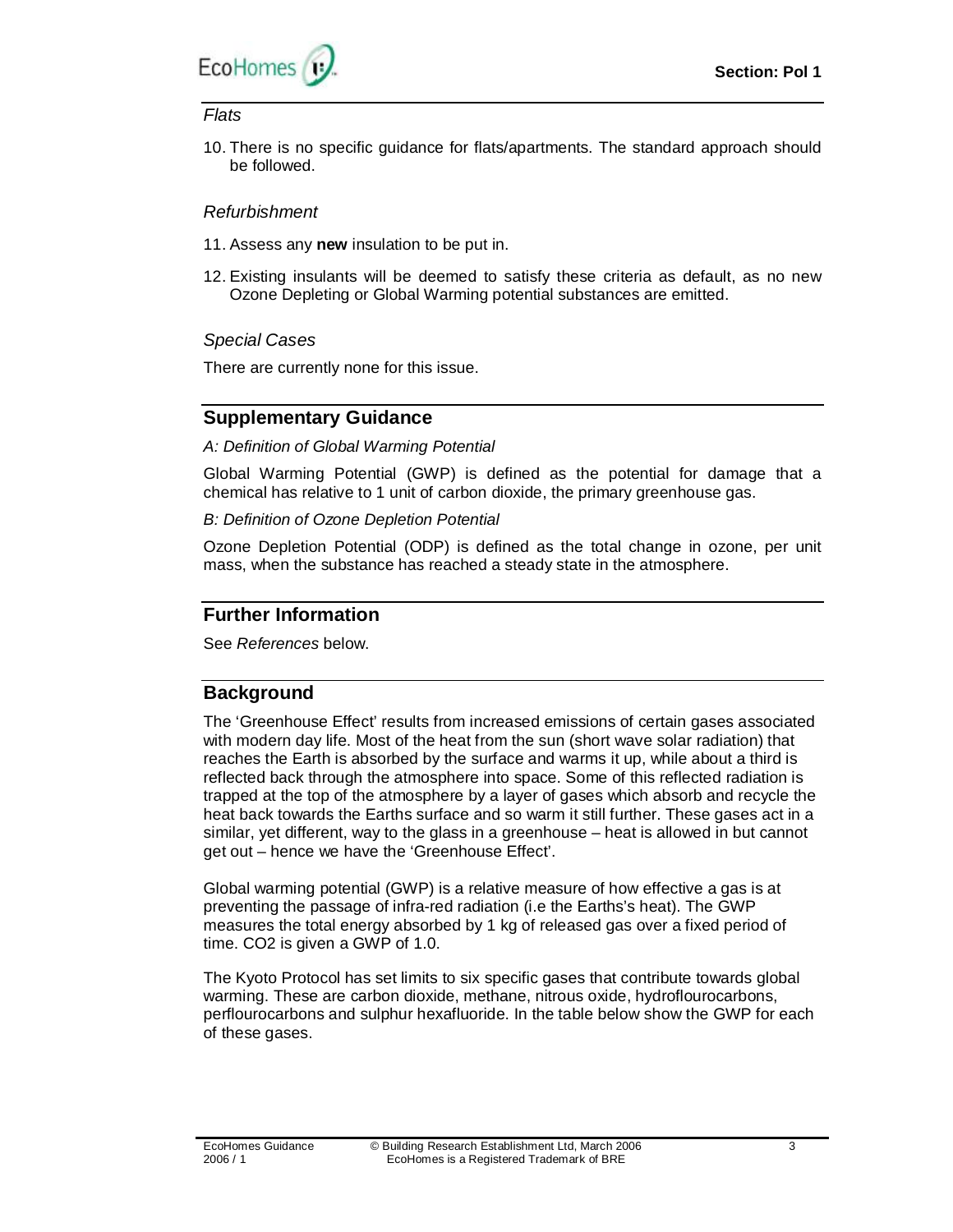

#### *Flats*

10. There is no specific guidance for flats/apartments. The standard approach should be followed.

#### *Refurbishment*

- 11. Assess any **new** insulation to be put in.
- 12. Existing insulants will be deemed to satisfy these criteria as default, as no new Ozone Depleting or Global Warming potential substances are emitted.

#### *Special Cases*

There are currently none for this issue.

## **Supplementary Guidance**

*A: Definition of Global Warming Potential* 

Global Warming Potential (GWP) is defined as the potential for damage that a chemical has relative to 1 unit of carbon dioxide, the primary greenhouse gas.

*B: Definition of Ozone Depletion Potential* 

Ozone Depletion Potential (ODP) is defined as the total change in ozone, per unit mass, when the substance has reached a steady state in the atmosphere.

## **Further Information**

See *References* below.

# **Background**

The 'Greenhouse Effect' results from increased emissions of certain gases associated with modern day life. Most of the heat from the sun (short wave solar radiation) that reaches the Earth is absorbed by the surface and warms it up, while about a third is reflected back through the atmosphere into space. Some of this reflected radiation is trapped at the top of the atmosphere by a layer of gases which absorb and recycle the heat back towards the Earths surface and so warm it still further. These gases act in a similar, yet different, way to the glass in a greenhouse – heat is allowed in but cannot get out – hence we have the 'Greenhouse Effect'.

Global warming potential (GWP) is a relative measure of how effective a gas is at preventing the passage of infra-red radiation (i.e the Earths's heat). The GWP measures the total energy absorbed by 1 kg of released gas over a fixed period of time. CO2 is given a GWP of 1.0.

The Kyoto Protocol has set limits to six specific gases that contribute towards global warming. These are carbon dioxide, methane, nitrous oxide, hydroflourocarbons, perflourocarbons and sulphur hexafluoride. In the table below show the GWP for each of these gases.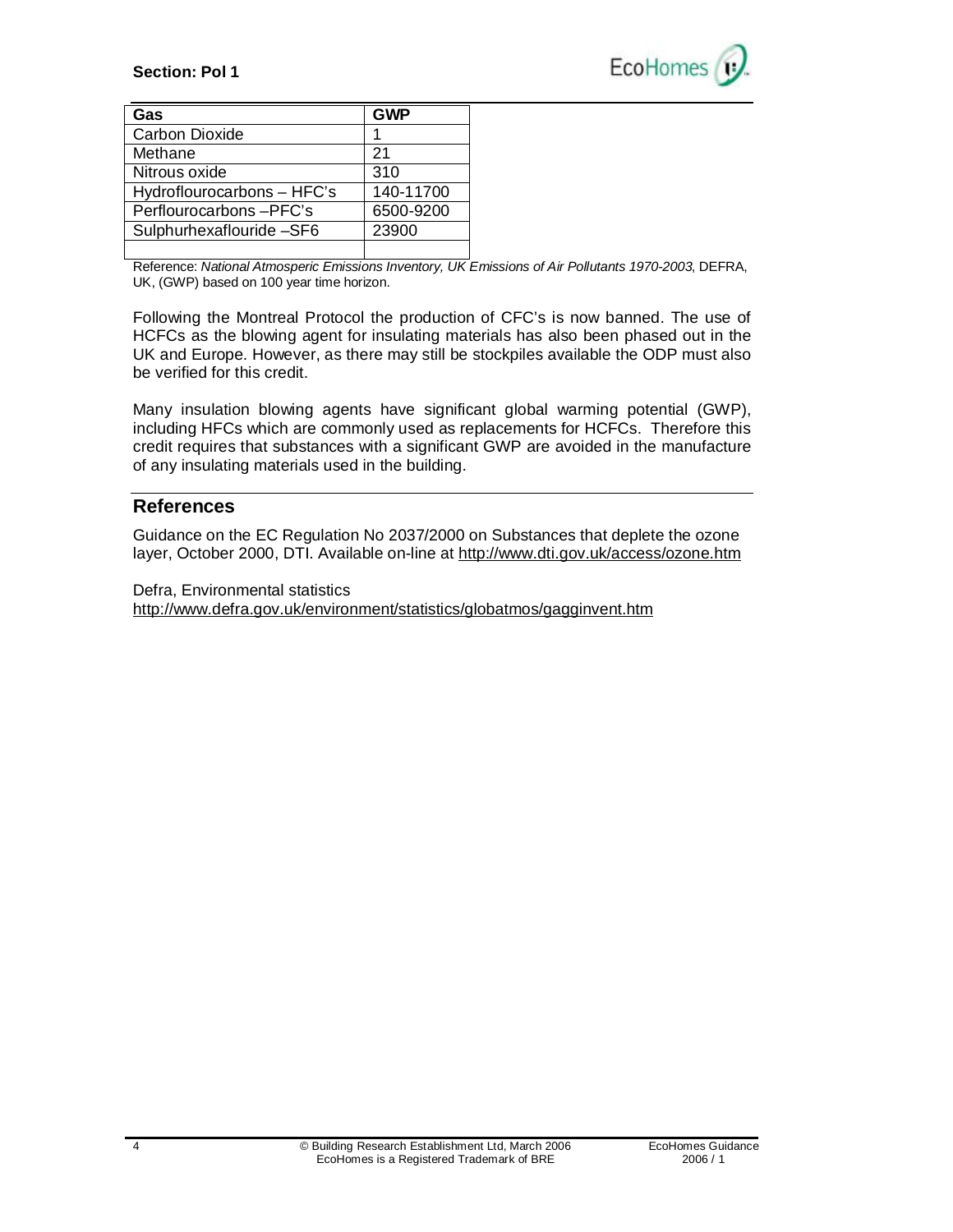#### **Section: Pol 1**

L



| Gas                        | <b>GWP</b> |
|----------------------------|------------|
| <b>Carbon Dioxide</b>      |            |
| Methane                    | 21         |
| Nitrous oxide              | 310        |
| Hydroflourocarbons - HFC's | 140-11700  |
| Perflourocarbons-PFC's     | 6500-9200  |
| Sulphurhexaflouride -SF6   | 23900      |
|                            |            |

Reference: *National Atmosperic Emissions Inventory, UK Emissions of Air Pollutants 1970-2003*, DEFRA, UK, (GWP) based on 100 year time horizon.

Following the Montreal Protocol the production of CFC's is now banned. The use of HCFCs as the blowing agent for insulating materials has also been phased out in the UK and Europe. However, as there may still be stockpiles available the ODP must also be verified for this credit.

Many insulation blowing agents have significant global warming potential (GWP), including HFCs which are commonly used as replacements for HCFCs. Therefore this credit requires that substances with a significant GWP are avoided in the manufacture of any insulating materials used in the building.

#### **References**

Guidance on the EC Regulation No 2037/2000 on Substances that deplete the ozone layer, October 2000, DTI. Available on-line at <http://www.dti.gov.uk/access/ozone.htm>

Defra, Environmental statistics <http://www.defra.gov.uk/environment/statistics/globatmos/gagginvent.htm>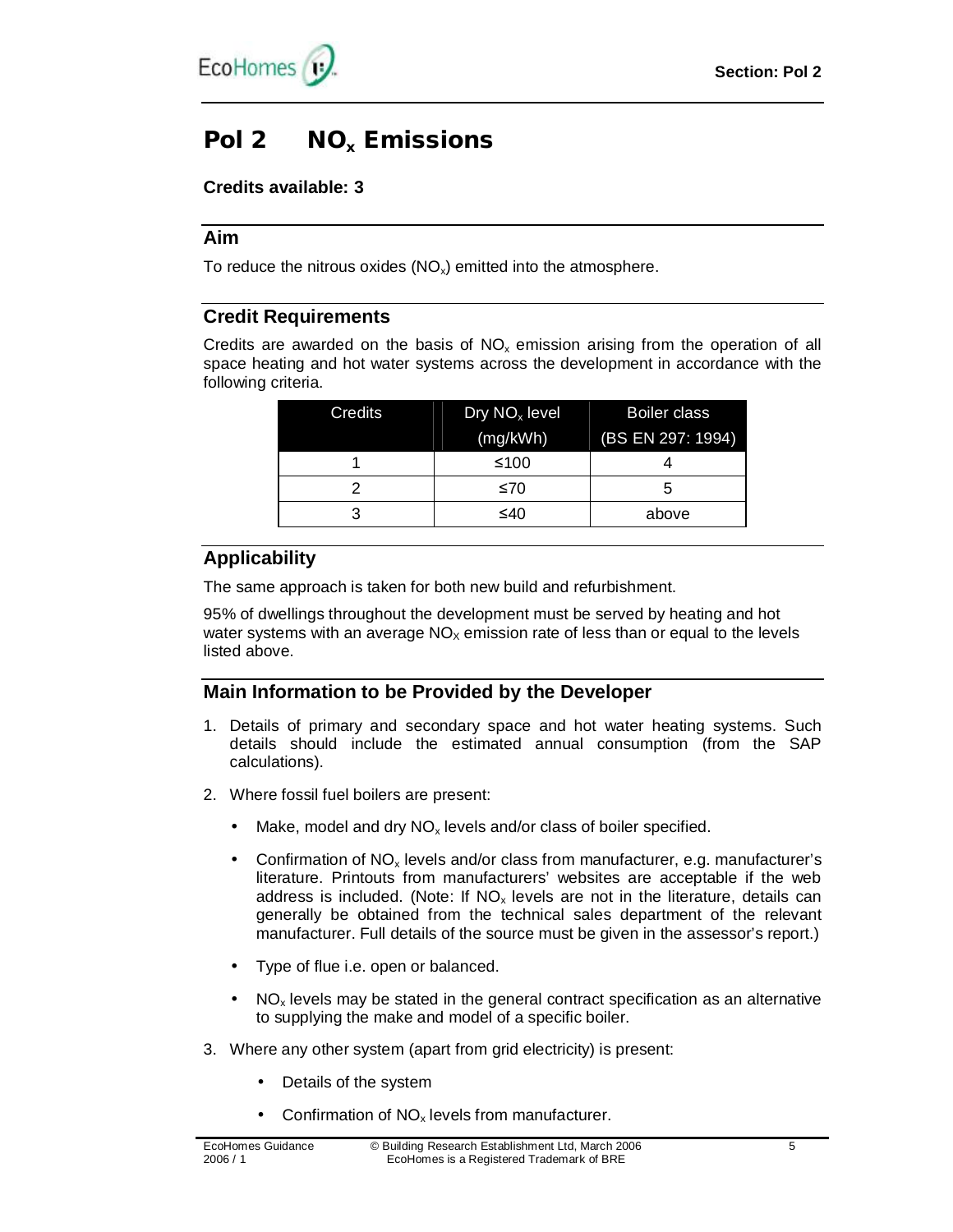

# **Pol 2 NO<sup>x</sup> Emissions**

## **Credits available: 3**

## **Aim**

To reduce the nitrous oxides  $(NO_x)$  emitted into the atmosphere.

## **Credit Requirements**

Credits are awarded on the basis of  $NO<sub>x</sub>$  emission arising from the operation of all space heating and hot water systems across the development in accordance with the following criteria.

| Credits | Dry $NOx$ level | Boiler class      |
|---------|-----------------|-------------------|
|         | (mg/kWh)        | (BS EN 297: 1994) |
|         | ≤100            |                   |
|         | ≤70             |                   |
|         | ≤40             | above             |

# **Applicability**

The same approach is taken for both new build and refurbishment.

95% of dwellings throughout the development must be served by heating and hot water systems with an average  $NO<sub>x</sub>$  emission rate of less than or equal to the levels listed above.

# **Main Information to be Provided by the Developer**

- 1. Details of primary and secondary space and hot water heating systems. Such details should include the estimated annual consumption (from the SAP calculations).
- 2. Where fossil fuel boilers are present:
	- Make, model and dry  $NO_x$  levels and/or class of boiler specified.
	- Confirmation of  $NO<sub>x</sub>$  levels and/or class from manufacturer, e.g. manufacturer's literature. Printouts from manufacturers' websites are acceptable if the web address is included. (Note: If  $NO<sub>x</sub>$  levels are not in the literature, details can generally be obtained from the technical sales department of the relevant manufacturer. Full details of the source must be given in the assessor's report.)
	- Type of flue i.e. open or balanced.
	- $NO<sub>x</sub>$  levels may be stated in the general contract specification as an alternative to supplying the make and model of a specific boiler.
- 3. Where any other system (apart from grid electricity) is present:
	- Details of the system
	- Confirmation of  $NO<sub>x</sub>$  levels from manufacturer.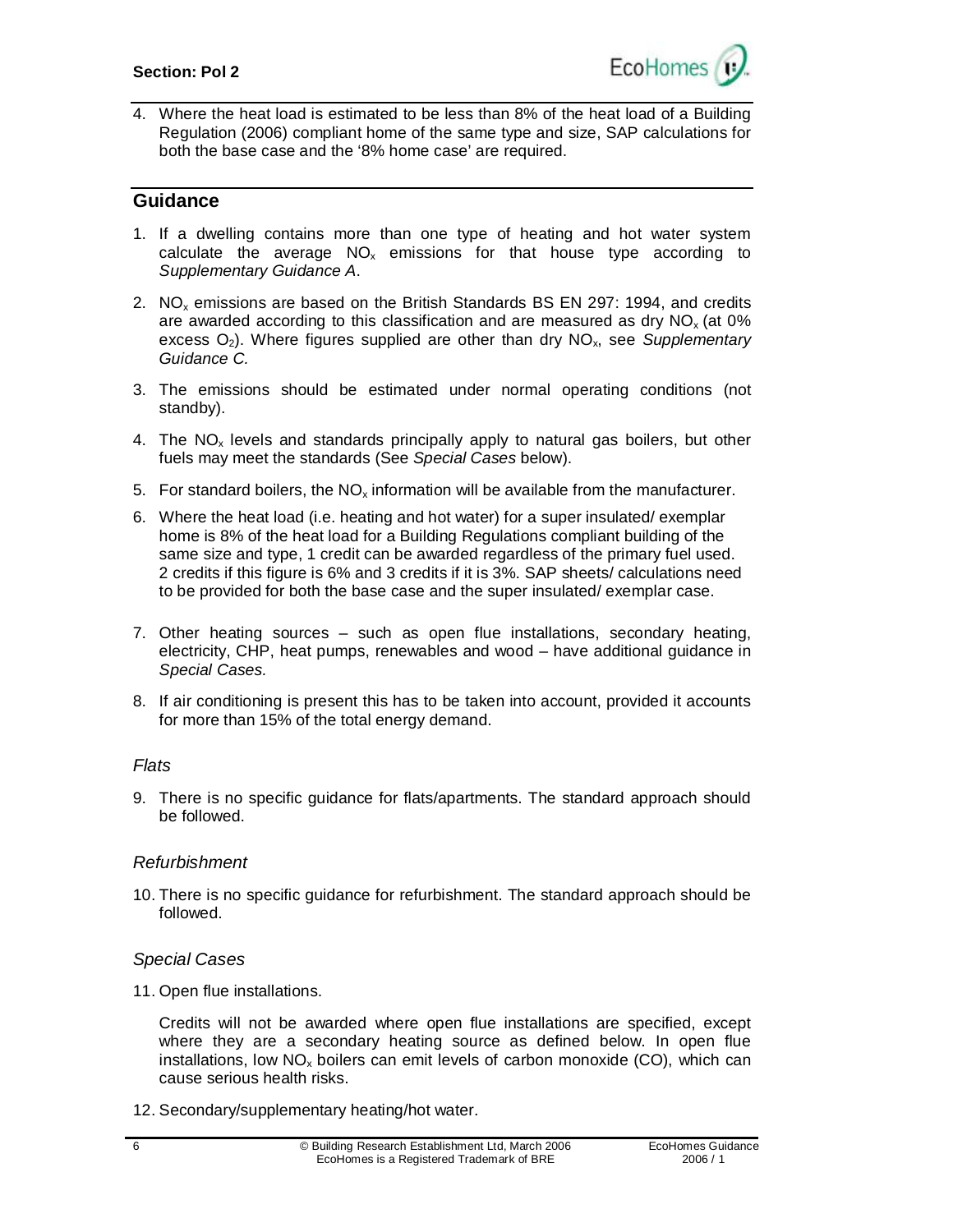

4. Where the heat load is estimated to be less than 8% of the heat load of a Building Regulation (2006) compliant home of the same type and size, SAP calculations for both the base case and the '8% home case' are required.

## **Guidance**

- 1. If a dwelling contains more than one type of heating and hot water system calculate the average  $NO_x$  emissions for that house type according to *Supplementary Guidance A*.
- 2. NO<sup>x</sup> emissions are based on the British Standards BS EN 297: 1994, and credits are awarded according to this classification and are measured as dry  $NO<sub>x</sub>$  (at 0%) excess O2). Where figures supplied are other than dry NOx, see *Supplementary Guidance C.*
- 3. The emissions should be estimated under normal operating conditions (not standby).
- 4. The  $NO<sub>x</sub>$  levels and standards principally apply to natural gas boilers, but other fuels may meet the standards (See *Special Cases* below).
- 5. For standard boilers, the  $NO_x$  information will be available from the manufacturer.
- 6. Where the heat load (i.e. heating and hot water) for a super insulated/ exemplar home is 8% of the heat load for a Building Regulations compliant building of the same size and type, 1 credit can be awarded regardless of the primary fuel used. 2 credits if this figure is 6% and 3 credits if it is 3%. SAP sheets/ calculations need to be provided for both the base case and the super insulated/ exemplar case.
- 7. Other heating sources such as open flue installations, secondary heating, electricity, CHP, heat pumps, renewables and wood – have additional guidance in *Special Cases.*
- 8. If air conditioning is present this has to be taken into account, provided it accounts for more than 15% of the total energy demand.

#### *Flats*

9. There is no specific guidance for flats/apartments. The standard approach should be followed.

#### *Refurbishment*

10. There is no specific guidance for refurbishment. The standard approach should be followed.

#### *Special Cases*

11. Open flue installations.

Credits will not be awarded where open flue installations are specified, except where they are a secondary heating source as defined below. In open flue installations, low  $NO<sub>x</sub>$  boilers can emit levels of carbon monoxide (CO), which can cause serious health risks.

12. Secondary/supplementary heating/hot water.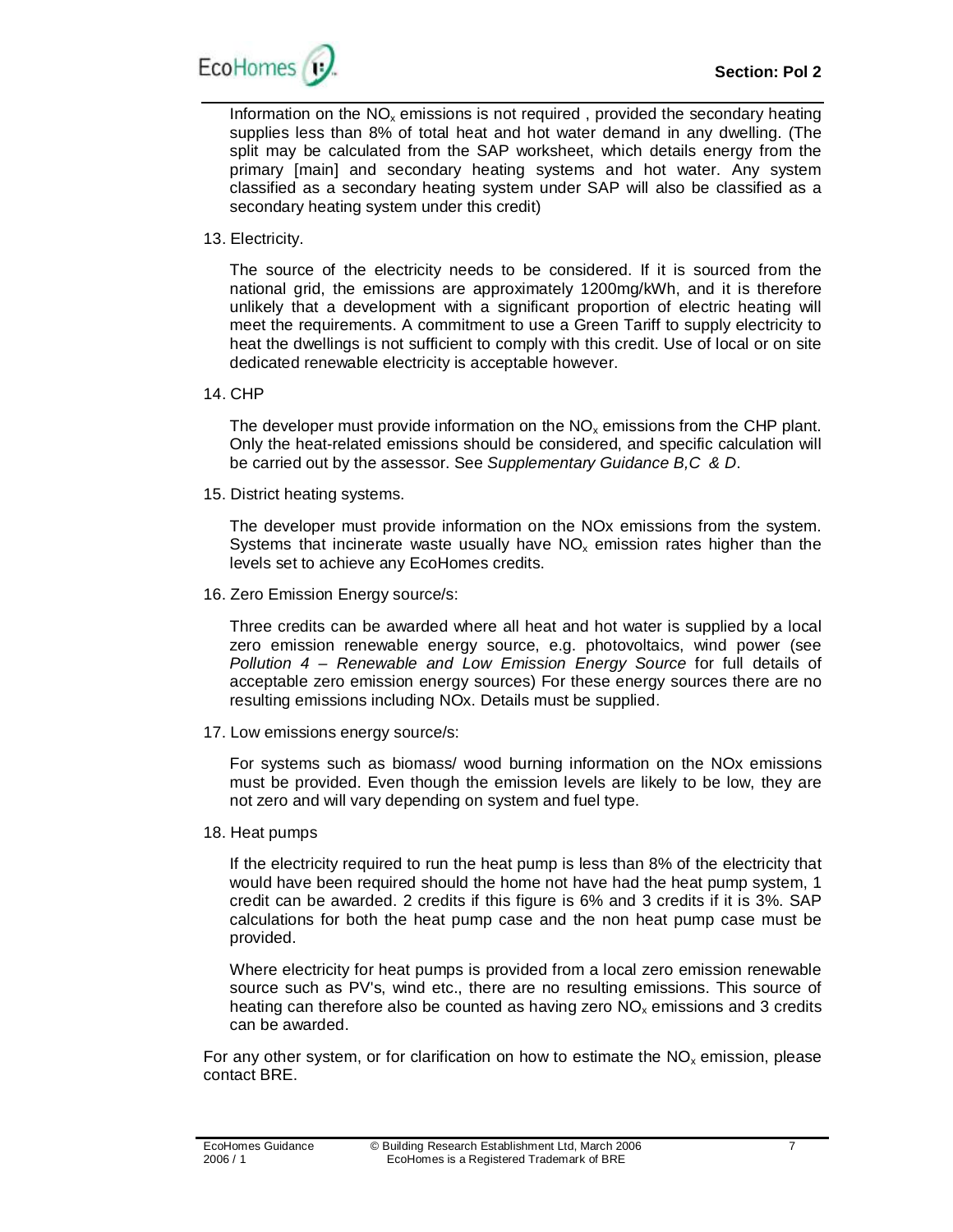

Information on the  $NO<sub>x</sub>$  emissions is not required, provided the secondary heating supplies less than 8% of total heat and hot water demand in any dwelling. (The split may be calculated from the SAP worksheet, which details energy from the primary [main] and secondary heating systems and hot water. Any system classified as a secondary heating system under SAP will also be classified as a secondary heating system under this credit)

13. Electricity.

The source of the electricity needs to be considered. If it is sourced from the national grid, the emissions are approximately 1200mg/kWh, and it is therefore unlikely that a development with a significant proportion of electric heating will meet the requirements. A commitment to use a Green Tariff to supply electricity to heat the dwellings is not sufficient to comply with this credit. Use of local or on site dedicated renewable electricity is acceptable however.

14. CHP

The developer must provide information on the  $NO<sub>x</sub>$  emissions from the CHP plant. Only the heat-related emissions should be considered, and specific calculation will be carried out by the assessor. See *Supplementary Guidance B,C & D*.

15. District heating systems.

The developer must provide information on the NOx emissions from the system. Systems that incinerate waste usually have  $NO<sub>x</sub>$  emission rates higher than the levels set to achieve any EcoHomes credits.

16. Zero Emission Energy source/s:

Three credits can be awarded where all heat and hot water is supplied by a local zero emission renewable energy source, e.g. photovoltaics, wind power (see *Pollution 4 – Renewable and Low Emission Energy Source* for full details of acceptable zero emission energy sources) For these energy sources there are no resulting emissions including NOx. Details must be supplied.

17. Low emissions energy source/s:

For systems such as biomass/ wood burning information on the NOx emissions must be provided. Even though the emission levels are likely to be low, they are not zero and will vary depending on system and fuel type.

18. Heat pumps

If the electricity required to run the heat pump is less than 8% of the electricity that would have been required should the home not have had the heat pump system, 1 credit can be awarded. 2 credits if this figure is 6% and 3 credits if it is 3%. SAP calculations for both the heat pump case and the non heat pump case must be provided.

Where electricity for heat pumps is provided from a local zero emission renewable source such as PV's, wind etc., there are no resulting emissions. This source of heating can therefore also be counted as having zero  $NO<sub>x</sub>$  emissions and 3 credits can be awarded.

For any other system, or for clarification on how to estimate the  $NO<sub>x</sub>$  emission, please contact BRE.

7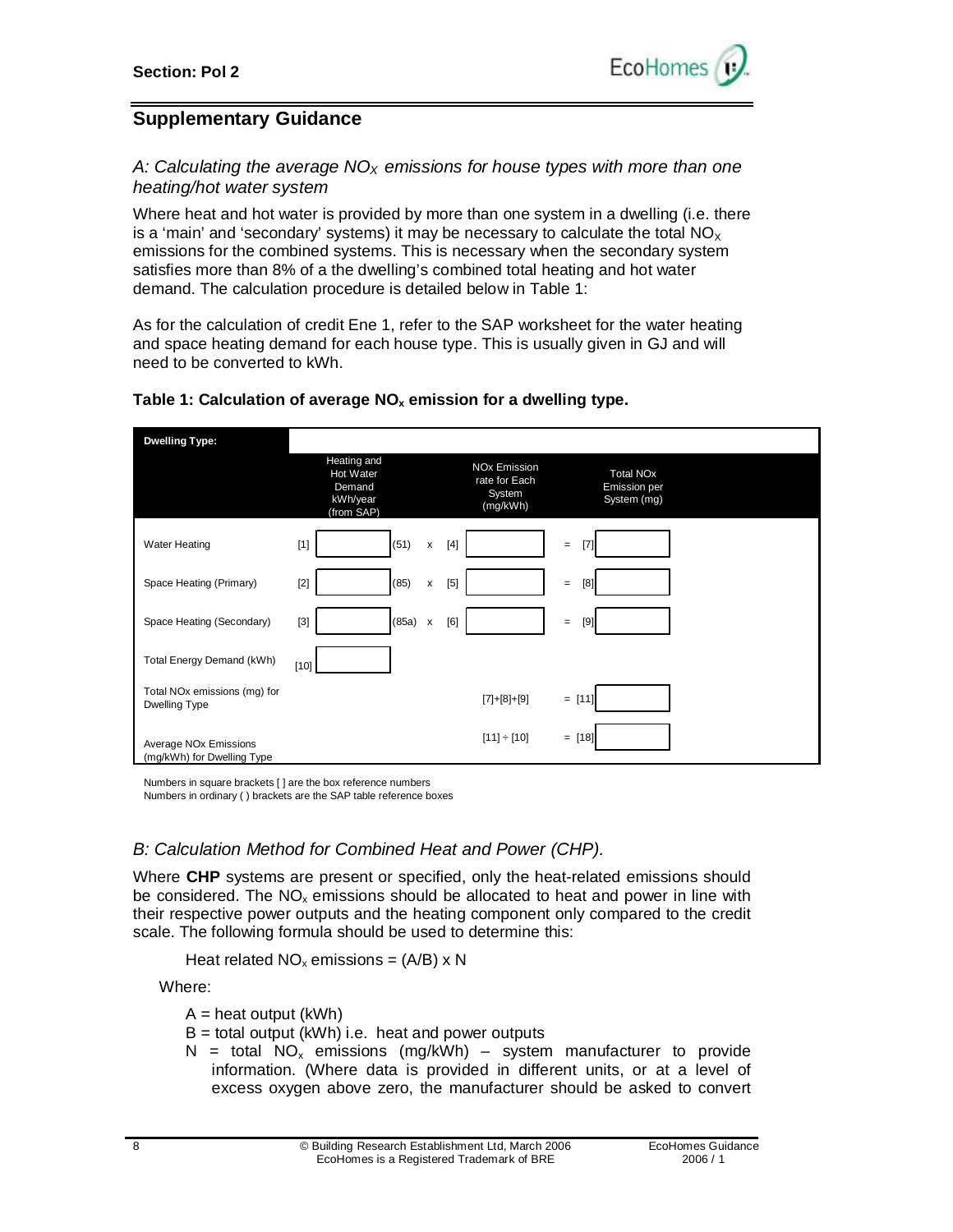

# **Supplementary Guidance**

## *A: Calculating the average NOX emissions for house types with more than one heating/hot water system*

Where heat and hot water is provided by more than one system in a dwelling (i.e. there is a 'main' and 'secondary' systems) it may be necessary to calculate the total  $NO_x$ emissions for the combined systems. This is necessary when the secondary system satisfies more than 8% of a the dwelling's combined total heating and hot water demand. The calculation procedure is detailed below in Table 1:

As for the calculation of credit Ene 1, refer to the SAP worksheet for the water heating and space heating demand for each house type. This is usually given in GJ and will need to be converted to kWh.

| <b>Dwelling Type:</b>                                           |                                                              |                                                            |                                                        |  |
|-----------------------------------------------------------------|--------------------------------------------------------------|------------------------------------------------------------|--------------------------------------------------------|--|
|                                                                 | Heating and<br>Hot Water<br>Demand<br>kWh/year<br>(from SAP) | <b>NOx Emission</b><br>rate for Each<br>System<br>(mg/kWh) | <b>Total NOx</b><br><b>Emission per</b><br>System (mg) |  |
| <b>Water Heating</b>                                            | (51)<br>$[1]$<br>x                                           | $[4]$                                                      | [7]<br>$=$                                             |  |
| Space Heating (Primary)                                         | (85)<br>$[2]$<br>x                                           | $[5]$                                                      | [8]<br>$\quad \  \, =$                                 |  |
| Space Heating (Secondary)                                       | $(85a)$ x<br>$[3]$                                           | [6]                                                        | $[9]$<br>$=$                                           |  |
| Total Energy Demand (kWh)                                       | $[10]$                                                       |                                                            |                                                        |  |
| Total NO <sub>x</sub> emissions (mg) for<br>Dwelling Type       |                                                              | $[7]+[8]+[9]$                                              | $=$ [11]                                               |  |
| Average NO <sub>x</sub> Emissions<br>(mg/kWh) for Dwelling Type |                                                              | $[11] \div [10]$                                           | $= [18]$                                               |  |

#### **Table 1: Calculation of average NO<sup>x</sup> emission for a dwelling type.**

Numbers in square brackets [ ] are the box reference numbers

Numbers in ordinary ( ) brackets are the SAP table reference boxes

## *B: Calculation Method for Combined Heat and Power (CHP).*

Where **CHP** systems are present or specified, only the heat-related emissions should be considered. The  $NO<sub>x</sub>$  emissions should be allocated to heat and power in line with their respective power outputs and the heating component only compared to the credit scale. The following formula should be used to determine this:

Heat related  $NO_x$  emissions = (A/B) x N

Where:

 $A = heat output (kWh)$ 

- $B =$  total output (kWh) i.e. heat and power outputs
- N = total  $NO_x$  emissions (mg/kWh) system manufacturer to provide information. (Where data is provided in different units, or at a level of excess oxygen above zero, the manufacturer should be asked to convert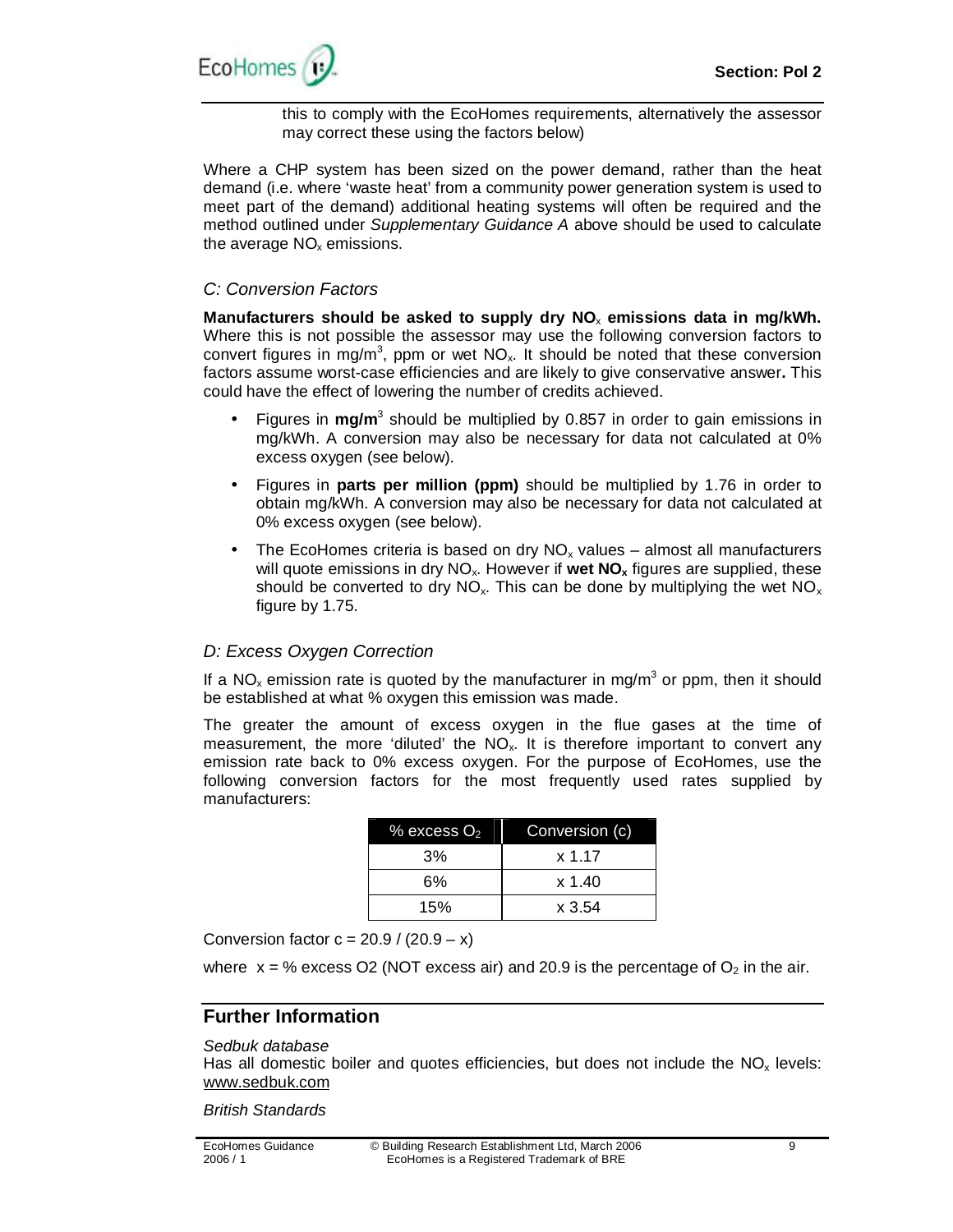

this to comply with the EcoHomes requirements, alternatively the assessor may correct these using the factors below)

Where a CHP system has been sized on the power demand, rather than the heat demand (i.e. where 'waste heat' from a community power generation system is used to meet part of the demand) additional heating systems will often be required and the method outlined under *Supplementary Guidance A* above should be used to calculate the average  $NO<sub>x</sub>$  emissions.

#### *C: Conversion Factors*

**Manufacturers should be asked to supply dry NO**<sup>x</sup> **emissions data in mg/kWh.**  Where this is not possible the assessor may use the following conversion factors to convert figures in mg/m<sup>3</sup>, ppm or wet  $NO<sub>x</sub>$ . It should be noted that these conversion factors assume worst-case efficiencies and are likely to give conservative answer**.** This could have the effect of lowering the number of credits achieved.

- Figures in mg/m<sup>3</sup> should be multiplied by 0.857 in order to gain emissions in mg/kWh. A conversion may also be necessary for data not calculated at 0% excess oxygen (see below).
- Figures in **parts per million (ppm)** should be multiplied by 1.76 in order to obtain mg/kWh. A conversion may also be necessary for data not calculated at 0% excess oxygen (see below).
- The EcoHomes criteria is based on dry  $NO<sub>x</sub>$  values almost all manufacturers will quote emissions in dry NO<sub>x</sub>. However if wet NO<sub>x</sub> figures are supplied, these should be converted to dry  $NO_x$ . This can be done by multiplying the wet  $NO_x$ figure by 1.75.

## *D: Excess Oxygen Correction*

If a NO<sub>x</sub> emission rate is quoted by the manufacturer in mg/m<sup>3</sup> or ppm, then it should be established at what % oxygen this emission was made.

The greater the amount of excess oxygen in the flue gases at the time of measurement, the more 'diluted' the  $NO<sub>x</sub>$ . It is therefore important to convert any emission rate back to 0% excess oxygen. For the purpose of EcoHomes, use the following conversion factors for the most frequently used rates supplied by manufacturers:

| $\%$ excess $\mathrm{O}_2$ | Conversion (c) |
|----------------------------|----------------|
| 3%                         | x 1.17         |
| 6%                         | x 1.40         |
| 15%                        | $x \cdot 3.54$ |

Conversion factor  $c = 20.9 / (20.9 - x)$ 

where  $x = %$  excess O2 (NOT excess air) and 20.9 is the percentage of O<sub>2</sub> in the air.

## **Further Information**

#### *Sedbuk database*

Has all domestic boiler and quotes efficiencies, but does not include the  $NO<sub>x</sub>$  levels: [www.sedbuk.com](http://www.sedbuk.com)

*British Standards*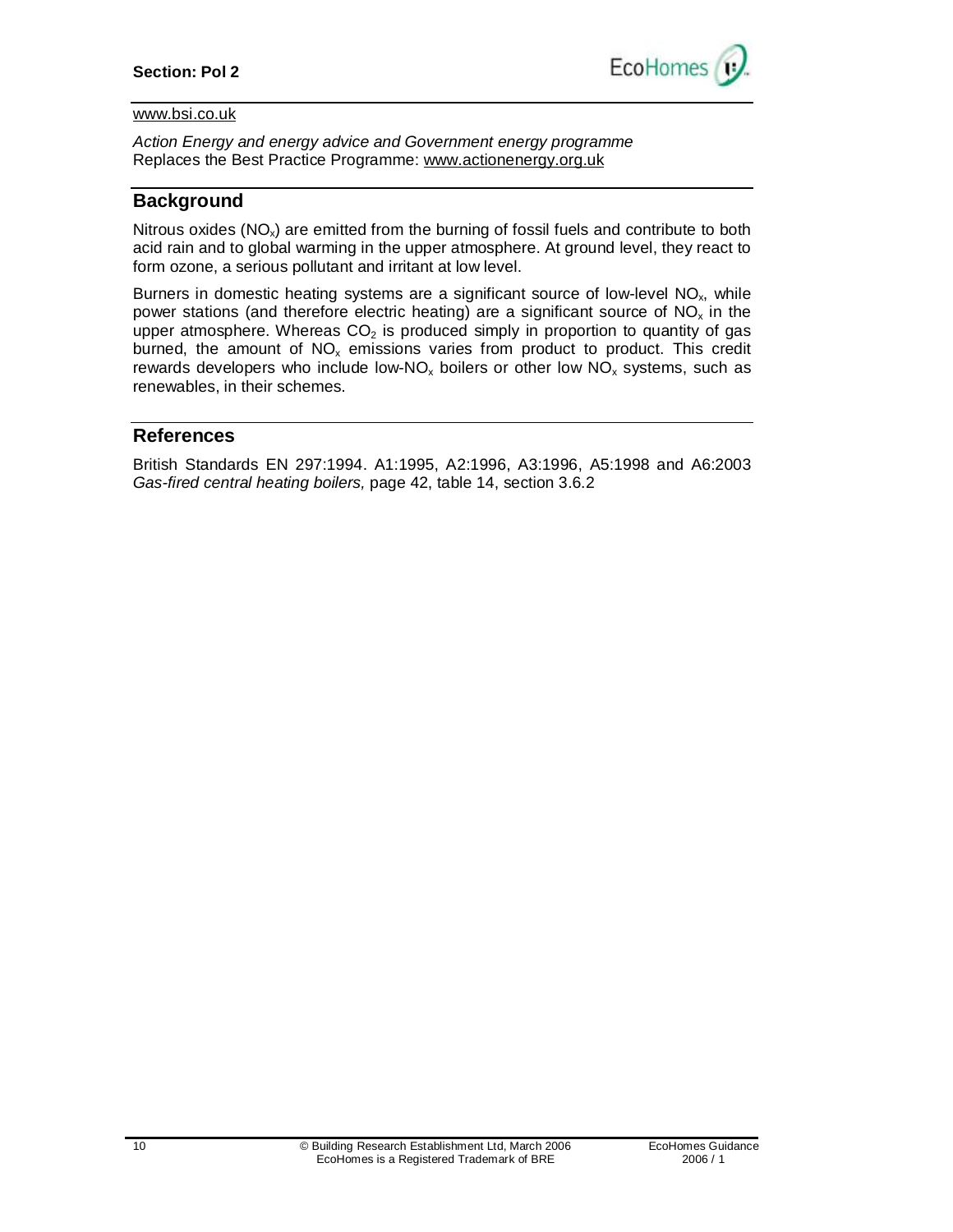

#### [www.bsi.co.uk](http://www.bsi.co.uk)

*Action Energy and energy advice and Government energy programme*  Replaces the Best Practice Programme: [www.actionenergy.org.uk](http://www.actionenergy.org.uk)

## **Background**

Nitrous oxides ( $NO_x$ ) are emitted from the burning of fossil fuels and contribute to both acid rain and to global warming in the upper atmosphere. At ground level, they react to form ozone, a serious pollutant and irritant at low level.

Burners in domestic heating systems are a significant source of low-level  $NO<sub>x</sub>$ , while power stations (and therefore electric heating) are a significant source of  $NO<sub>x</sub>$  in the upper atmosphere. Whereas  $CO<sub>2</sub>$  is produced simply in proportion to quantity of gas burned, the amount of  $NO<sub>x</sub>$  emissions varies from product to product. This credit rewards developers who include low-NO<sub>x</sub> boilers or other low NO<sub>x</sub> systems, such as renewables, in their schemes.

## **References**

British Standards EN 297:1994. A1:1995, A2:1996, A3:1996, A5:1998 and A6:2003 *Gas-fired central heating boilers,* page 42, table 14, section 3.6.2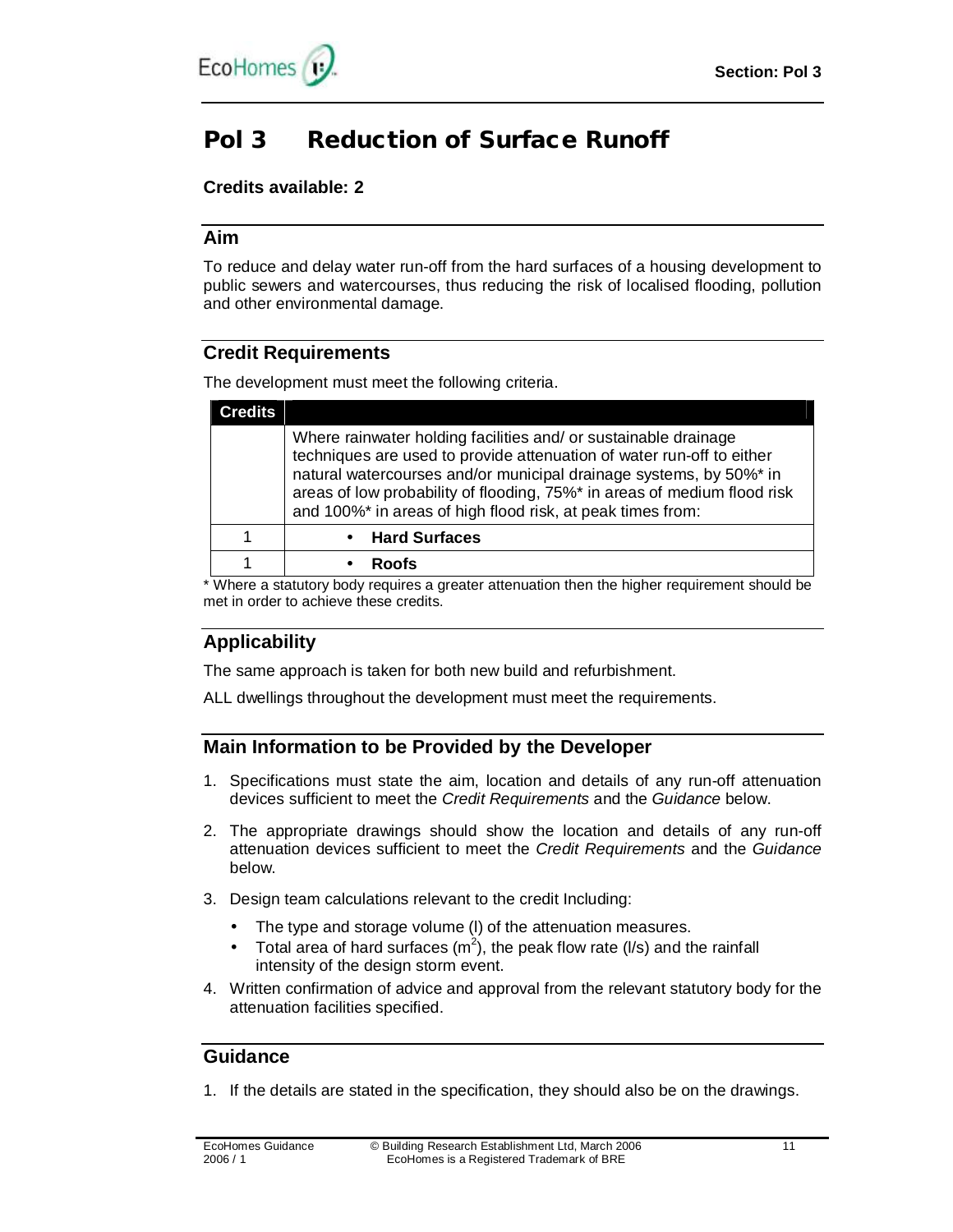

# **Pol 3 Reduction of Surface Runoff**

## **Credits available: 2**

## **Aim**

To reduce and delay water run-off from the hard surfaces of a housing development to public sewers and watercourses, thus reducing the risk of localised flooding, pollution and other environmental damage.

## **Credit Requirements**

The development must meet the following criteria.

| Where rainwater holding facilities and/ or sustainable drainage<br>techniques are used to provide attenuation of water run-off to either<br>natural watercourses and/or municipal drainage systems, by 50%* in<br>areas of low probability of flooding, 75%* in areas of medium flood risk<br>and 100%* in areas of high flood risk, at peak times from: |
|----------------------------------------------------------------------------------------------------------------------------------------------------------------------------------------------------------------------------------------------------------------------------------------------------------------------------------------------------------|
| • Hard Surfaces                                                                                                                                                                                                                                                                                                                                          |
| <b>Roofs</b>                                                                                                                                                                                                                                                                                                                                             |
|                                                                                                                                                                                                                                                                                                                                                          |

\* Where a statutory body requires a greater attenuation then the higher requirement should be met in order to achieve these credits.

# **Applicability**

The same approach is taken for both new build and refurbishment.

ALL dwellings throughout the development must meet the requirements.

# **Main Information to be Provided by the Developer**

- 1. Specifications must state the aim, location and details of any run-off attenuation devices sufficient to meet the *Credit Requirements* and the *Guidance* below.
- 2. The appropriate drawings should show the location and details of any run-off attenuation devices sufficient to meet the *Credit Requirements* and the *Guidance* below.
- 3. Design team calculations relevant to the credit Including:
	- The type and storage volume (l) of the attenuation measures.
	- Total area of hard surfaces  $(m^2)$ , the peak flow rate (I/s) and the rainfall intensity of the design storm event.
- 4. Written confirmation of advice and approval from the relevant statutory body for the attenuation facilities specified.

# **Guidance**

1. If the details are stated in the specification, they should also be on the drawings.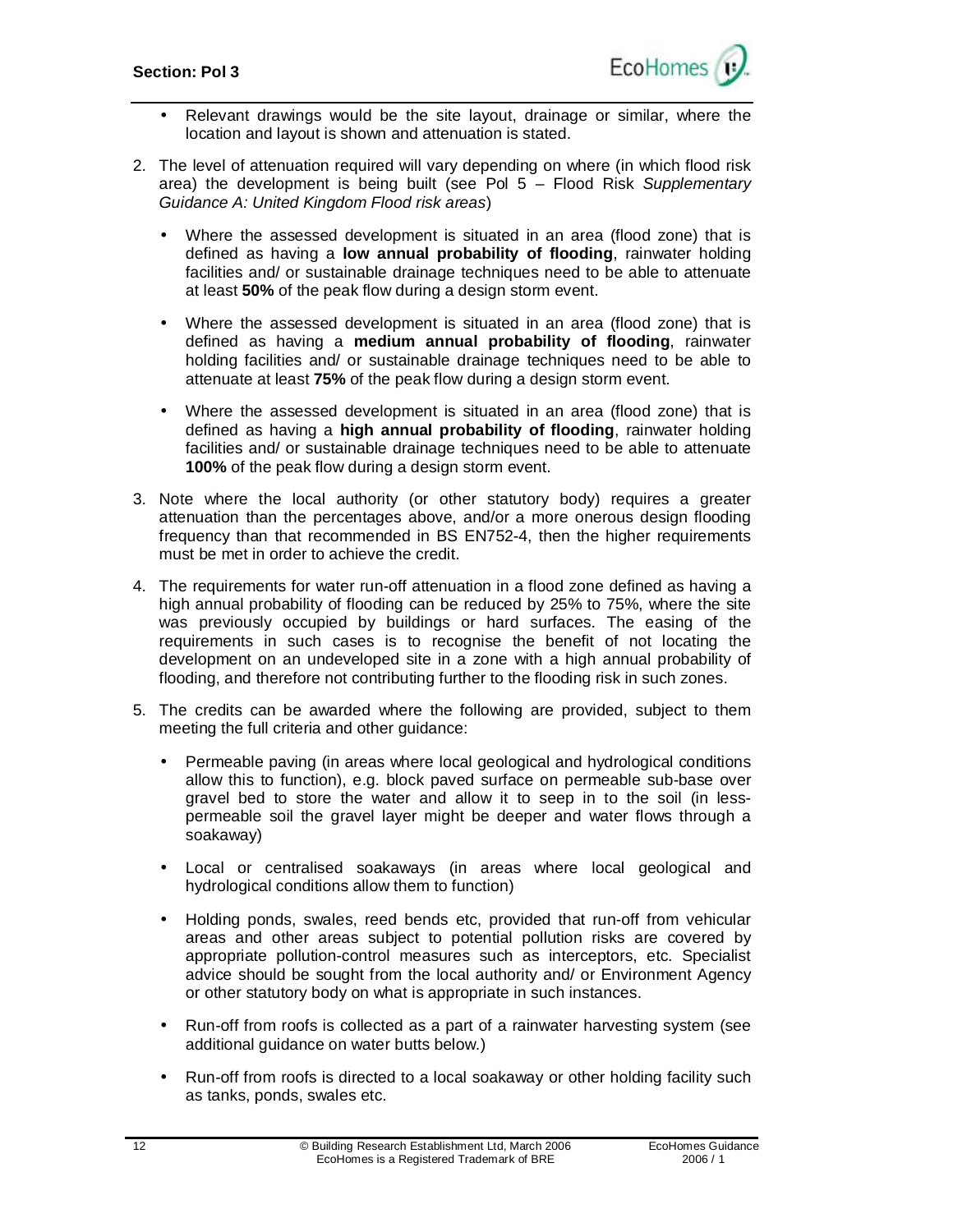

- Relevant drawings would be the site layout, drainage or similar, where the location and layout is shown and attenuation is stated.
- 2. The level of attenuation required will vary depending on where (in which flood risk area) the development is being built (see Pol 5 – Flood Risk *Supplementary Guidance A: United Kingdom Flood risk areas*)
	- Where the assessed development is situated in an area (flood zone) that is defined as having a **low annual probability of flooding**, rainwater holding facilities and/ or sustainable drainage techniques need to be able to attenuate at least **50%** of the peak flow during a design storm event.
	- Where the assessed development is situated in an area (flood zone) that is defined as having a **medium annual probability of flooding**, rainwater holding facilities and/ or sustainable drainage techniques need to be able to attenuate at least **75%** of the peak flow during a design storm event.
	- Where the assessed development is situated in an area (flood zone) that is defined as having a **high annual probability of flooding**, rainwater holding facilities and/ or sustainable drainage techniques need to be able to attenuate **100%** of the peak flow during a design storm event.
- 3. Note where the local authority (or other statutory body) requires a greater attenuation than the percentages above, and/or a more onerous design flooding frequency than that recommended in BS EN752-4, then the higher requirements must be met in order to achieve the credit.
- 4. The requirements for water run-off attenuation in a flood zone defined as having a high annual probability of flooding can be reduced by 25% to 75%, where the site was previously occupied by buildings or hard surfaces. The easing of the requirements in such cases is to recognise the benefit of not locating the development on an undeveloped site in a zone with a high annual probability of flooding, and therefore not contributing further to the flooding risk in such zones.
- 5. The credits can be awarded where the following are provided, subject to them meeting the full criteria and other guidance:
	- Permeable paving (in areas where local geological and hydrological conditions allow this to function), e.g. block paved surface on permeable sub-base over gravel bed to store the water and allow it to seep in to the soil (in lesspermeable soil the gravel layer might be deeper and water flows through a soakaway)
	- Local or centralised soakaways (in areas where local geological and hydrological conditions allow them to function)
	- Holding ponds, swales, reed bends etc, provided that run-off from vehicular areas and other areas subject to potential pollution risks are covered by appropriate pollution-control measures such as interceptors, etc. Specialist advice should be sought from the local authority and/ or Environment Agency or other statutory body on what is appropriate in such instances.
	- Run-off from roofs is collected as a part of a rainwater harvesting system (see additional guidance on water butts below.)
	- Run-off from roofs is directed to a local soakaway or other holding facility such as tanks, ponds, swales etc.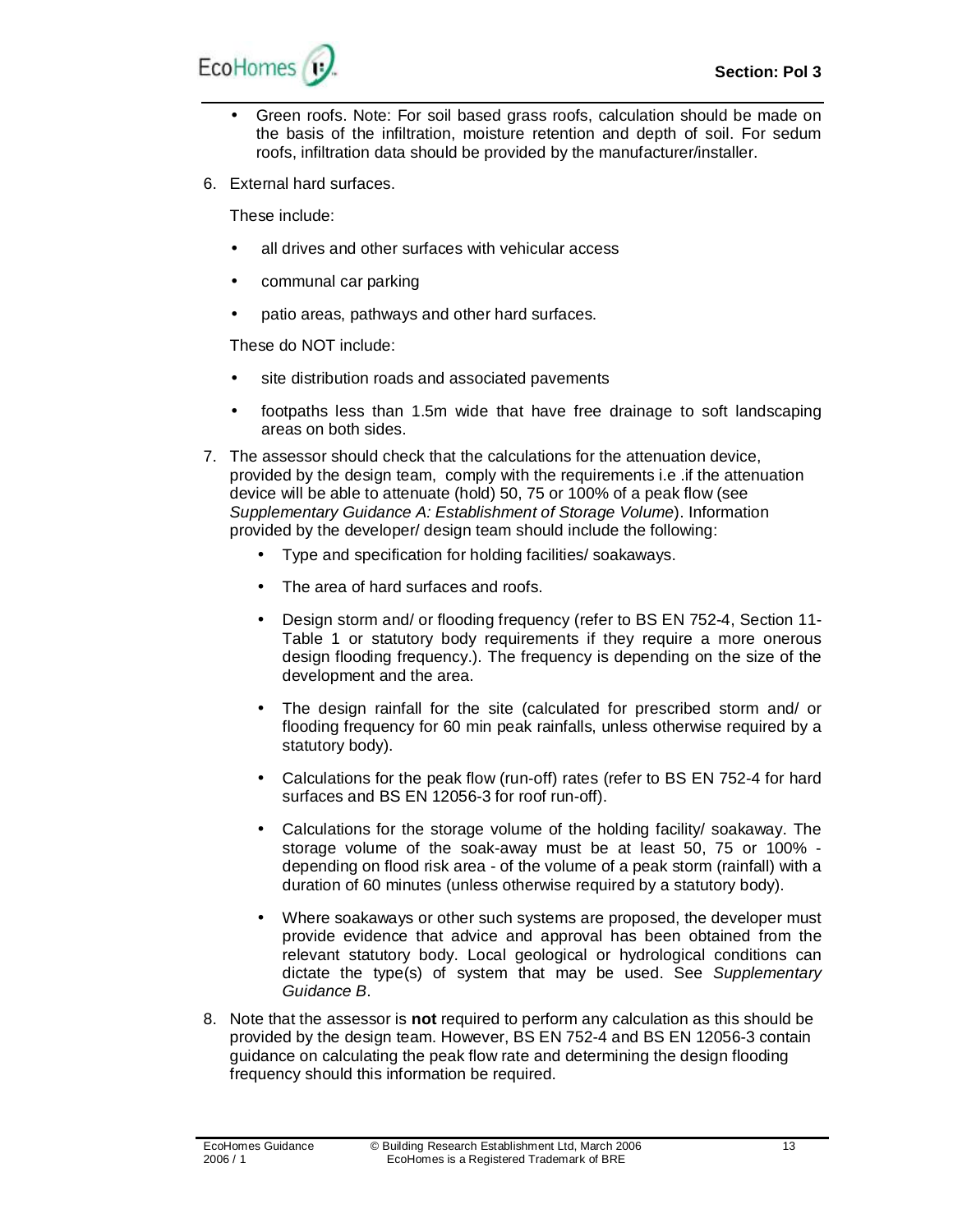

- Green roofs. Note: For soil based grass roofs, calculation should be made on the basis of the infiltration, moisture retention and depth of soil. For sedum roofs, infiltration data should be provided by the manufacturer/installer.
- 6. External hard surfaces.

These include:

- all drives and other surfaces with vehicular access
- communal car parking
- patio areas, pathways and other hard surfaces.

These do NOT include:

- site distribution roads and associated pavements
- footpaths less than 1.5m wide that have free drainage to soft landscaping areas on both sides.
- 7. The assessor should check that the calculations for the attenuation device, provided by the design team, comply with the requirements i.e .if the attenuation device will be able to attenuate (hold) 50, 75 or 100% of a peak flow (see *Supplementary Guidance A: Establishment of Storage Volume*). Information provided by the developer/ design team should include the following:
	- Type and specification for holding facilities/ soakaways.
	- The area of hard surfaces and roofs.
	- Design storm and/ or flooding frequency (refer to BS EN 752-4, Section 11- Table 1 or statutory body requirements if they require a more onerous design flooding frequency.). The frequency is depending on the size of the development and the area.
	- The design rainfall for the site (calculated for prescribed storm and/ or flooding frequency for 60 min peak rainfalls, unless otherwise required by a statutory body).
	- Calculations for the peak flow (run-off) rates (refer to BS EN 752-4 for hard surfaces and BS EN 12056-3 for roof run-off).
	- Calculations for the storage volume of the holding facility/ soakaway. The storage volume of the soak-away must be at least 50, 75 or 100% depending on flood risk area - of the volume of a peak storm (rainfall) with a duration of 60 minutes (unless otherwise required by a statutory body).
	- Where soakaways or other such systems are proposed, the developer must provide evidence that advice and approval has been obtained from the relevant statutory body. Local geological or hydrological conditions can dictate the type(s) of system that may be used. See *Supplementary Guidance B*.
- 8. Note that the assessor is **not** required to perform any calculation as this should be provided by the design team. However, BS EN 752-4 and BS EN 12056-3 contain guidance on calculating the peak flow rate and determining the design flooding frequency should this information be required.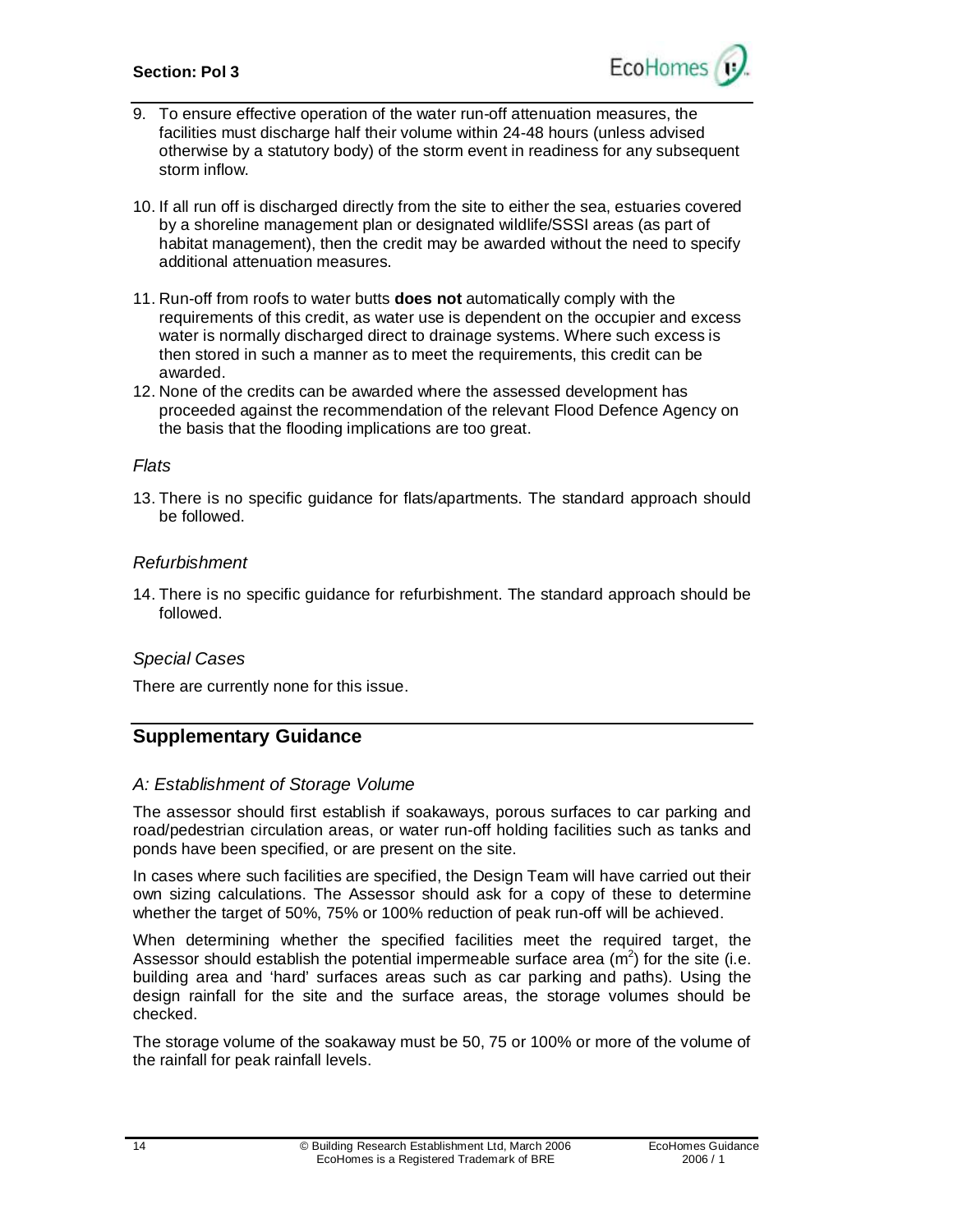#### **Section: Pol 3**



- 9. To ensure effective operation of the water run-off attenuation measures, the facilities must discharge half their volume within 24-48 hours (unless advised otherwise by a statutory body) of the storm event in readiness for any subsequent storm inflow.
- 10. If all run off is discharged directly from the site to either the sea, estuaries covered by a shoreline management plan or designated wildlife/SSSI areas (as part of habitat management), then the credit may be awarded without the need to specify additional attenuation measures.
- 11. Run-off from roofs to water butts **does not** automatically comply with the requirements of this credit, as water use is dependent on the occupier and excess water is normally discharged direct to drainage systems. Where such excess is then stored in such a manner as to meet the requirements, this credit can be awarded.
- 12. None of the credits can be awarded where the assessed development has proceeded against the recommendation of the relevant Flood Defence Agency on the basis that the flooding implications are too great.

#### *Flats*

13. There is no specific guidance for flats/apartments. The standard approach should be followed.

#### *Refurbishment*

14. There is no specific guidance for refurbishment. The standard approach should be followed.

#### *Special Cases*

There are currently none for this issue.

## **Supplementary Guidance**

#### *A: Establishment of Storage Volume*

The assessor should first establish if soakaways, porous surfaces to car parking and road/pedestrian circulation areas, or water run-off holding facilities such as tanks and ponds have been specified, or are present on the site.

In cases where such facilities are specified, the Design Team will have carried out their own sizing calculations. The Assessor should ask for a copy of these to determine whether the target of 50%, 75% or 100% reduction of peak run-off will be achieved.

When determining whether the specified facilities meet the required target, the Assessor should establish the potential impermeable surface area  $(m<sup>2</sup>)$  for the site (i.e. building area and 'hard' surfaces areas such as car parking and paths). Using the design rainfall for the site and the surface areas, the storage volumes should be checked.

The storage volume of the soakaway must be 50, 75 or 100% or more of the volume of the rainfall for peak rainfall levels.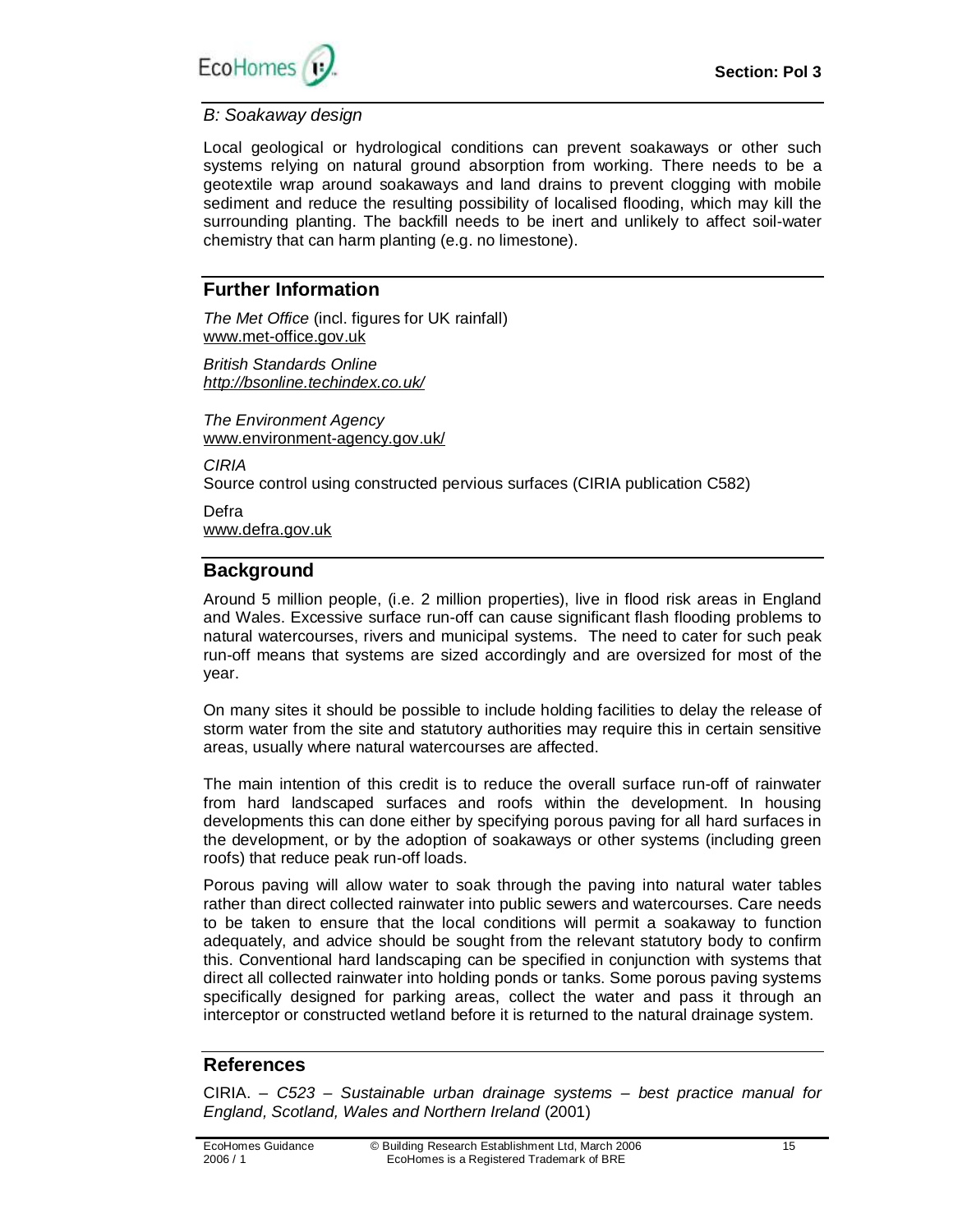

### *B: Soakaway design*

Local geological or hydrological conditions can prevent soakaways or other such systems relying on natural ground absorption from working. There needs to be a geotextile wrap around soakaways and land drains to prevent clogging with mobile sediment and reduce the resulting possibility of localised flooding, which may kill the surrounding planting. The backfill needs to be inert and unlikely to affect soil-water chemistry that can harm planting (e.g. no limestone).

## **Further Information**

*The Met Office* (incl. figures for UK rainfall) [www.met-office.gov.uk](http://www.met-office.gov.uk)

*British Standards Online <http://bsonline.techindex.co.uk/>*

*The Environment Agency*  [www.environment-agency.gov.uk/](http://www.environment-agency.gov.uk/)

*CIRIA* 

Source control using constructed pervious surfaces (CIRIA publication C582)

Defra [www.defra.gov.uk](http://www.defra.gov.uk)

# **Background**

Around 5 million people, (i.e. 2 million properties), live in flood risk areas in England and Wales. Excessive surface run-off can cause significant flash flooding problems to natural watercourses, rivers and municipal systems. The need to cater for such peak run-off means that systems are sized accordingly and are oversized for most of the year.

On many sites it should be possible to include holding facilities to delay the release of storm water from the site and statutory authorities may require this in certain sensitive areas, usually where natural watercourses are affected.

The main intention of this credit is to reduce the overall surface run-off of rainwater from hard landscaped surfaces and roofs within the development. In housing developments this can done either by specifying porous paving for all hard surfaces in the development, or by the adoption of soakaways or other systems (including green roofs) that reduce peak run-off loads.

Porous paving will allow water to soak through the paving into natural water tables rather than direct collected rainwater into public sewers and watercourses. Care needs to be taken to ensure that the local conditions will permit a soakaway to function adequately, and advice should be sought from the relevant statutory body to confirm this. Conventional hard landscaping can be specified in conjunction with systems that direct all collected rainwater into holding ponds or tanks. Some porous paving systems specifically designed for parking areas, collect the water and pass it through an interceptor or constructed wetland before it is returned to the natural drainage system.

# **References**

CIRIA. – *C523 – Sustainable urban drainage systems – best practice manual for England, Scotland, Wales and Northern Ireland* (2001)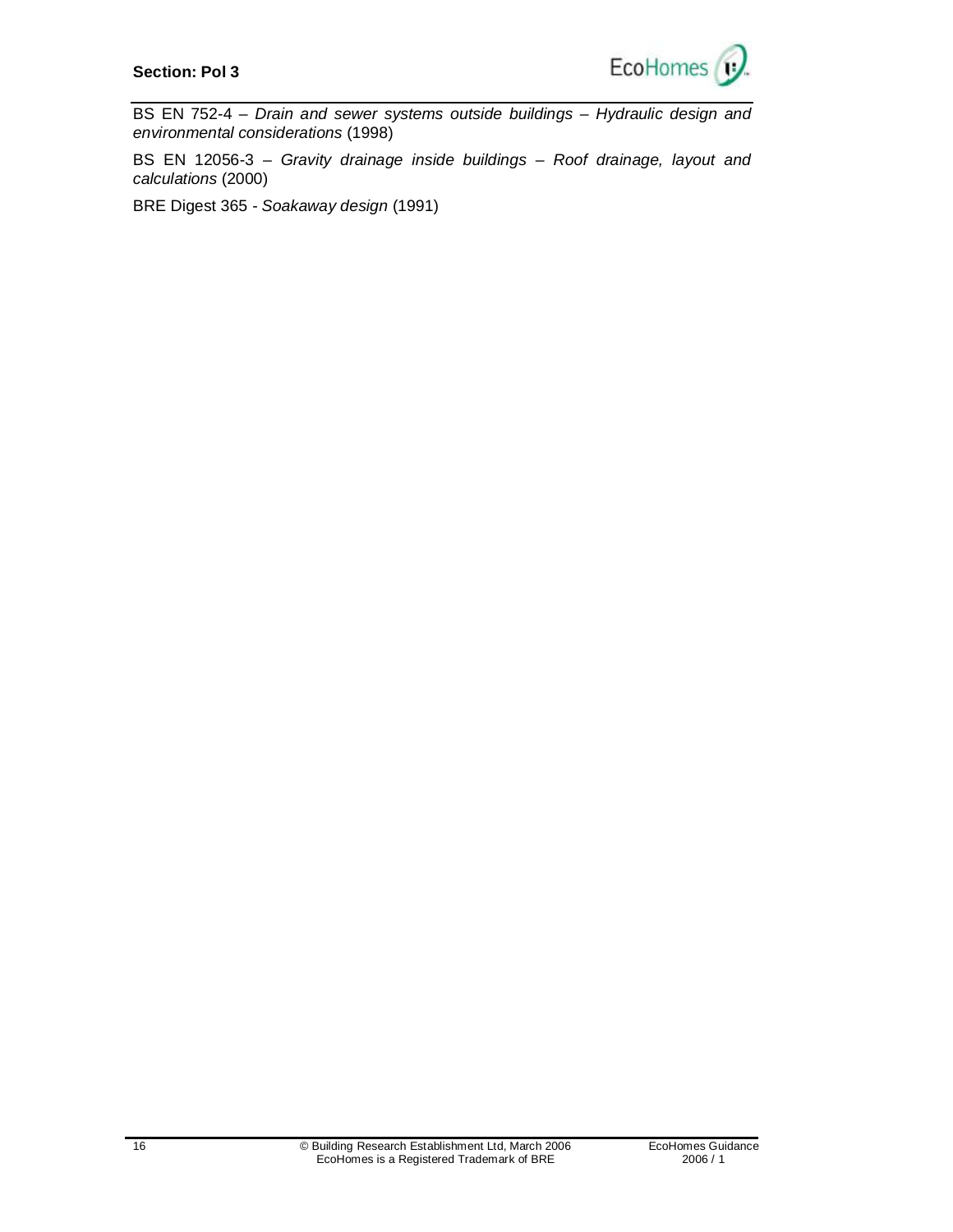

BS EN 752-4 – *Drain and sewer systems outside buildings – Hydraulic design and environmental considerations* (1998)

BS EN 12056-3 – *Gravity drainage inside buildings – Roof drainage, layout and calculations* (2000)

BRE Digest 365 - *Soakaway design* (1991)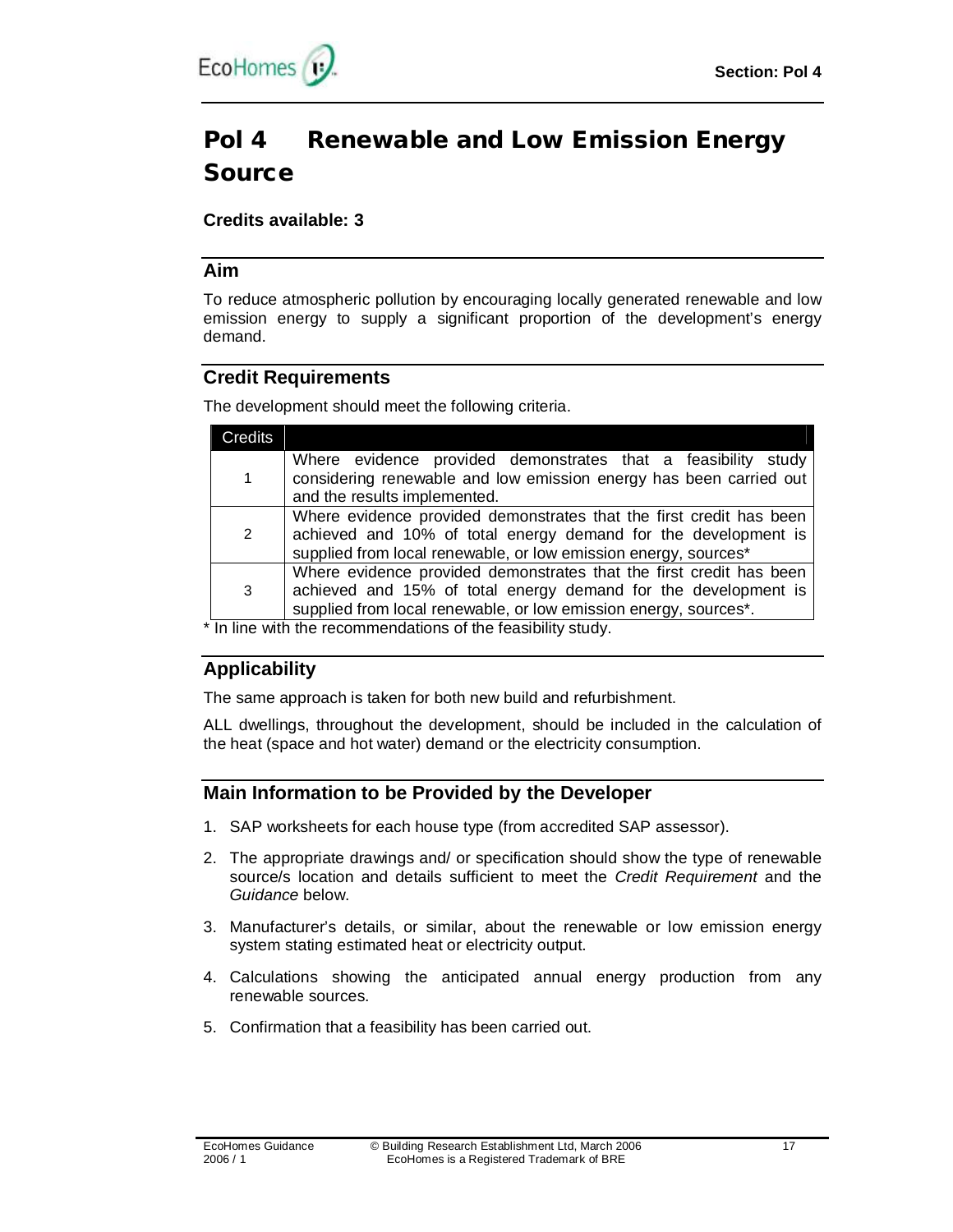

# **Pol 4 Renewable and Low Emission Energy Source**

## **Credits available: 3**

### **Aim**

To reduce atmospheric pollution by encouraging locally generated renewable and low emission energy to supply a significant proportion of the development's energy demand.

## **Credit Requirements**

The development should meet the following criteria.

| Credits |                                                                                                                                                                                                           |
|---------|-----------------------------------------------------------------------------------------------------------------------------------------------------------------------------------------------------------|
|         | Where evidence provided demonstrates that a feasibility study<br>considering renewable and low emission energy has been carried out<br>and the results implemented.                                       |
| 2       | Where evidence provided demonstrates that the first credit has been<br>achieved and 10% of total energy demand for the development is<br>supplied from local renewable, or low emission energy, sources*  |
| 3       | Where evidence provided demonstrates that the first credit has been<br>achieved and 15% of total energy demand for the development is<br>supplied from local renewable, or low emission energy, sources*. |
|         | <u>Le line with the recommendations of the foosibility atualy.</u>                                                                                                                                        |

\* In line with the recommendations of the feasibility study.

# **Applicability**

The same approach is taken for both new build and refurbishment.

ALL dwellings, throughout the development, should be included in the calculation of the heat (space and hot water) demand or the electricity consumption.

## **Main Information to be Provided by the Developer**

- 1. SAP worksheets for each house type (from accredited SAP assessor).
- 2. The appropriate drawings and/ or specification should show the type of renewable source/s location and details sufficient to meet the *Credit Requirement* and the *Guidance* below.
- 3. Manufacturer's details, or similar, about the renewable or low emission energy system stating estimated heat or electricity output.
- 4. Calculations showing the anticipated annual energy production from any renewable sources.
- 5. Confirmation that a feasibility has been carried out.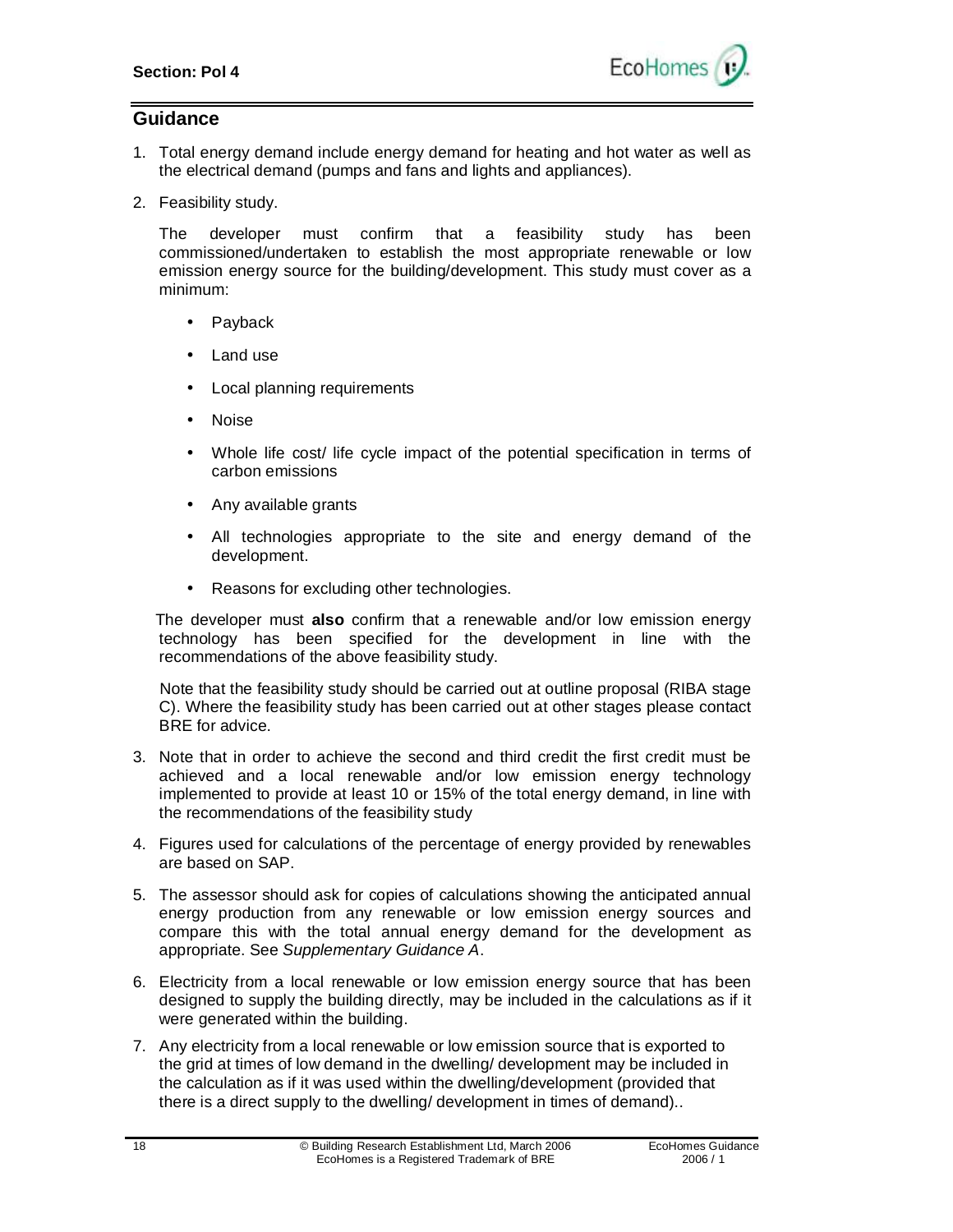

## **Guidance**

- 1. Total energy demand include energy demand for heating and hot water as well as the electrical demand (pumps and fans and lights and appliances).
- 2. Feasibility study.

The developer must confirm that a feasibility study has been commissioned/undertaken to establish the most appropriate renewable or low emission energy source for the building/development. This study must cover as a minimum:

- **Payback**
- Land use
- Local planning requirements
- Noise
- Whole life cost/ life cycle impact of the potential specification in terms of carbon emissions
- Any available grants
- All technologies appropriate to the site and energy demand of the development.
- Reasons for excluding other technologies.

 The developer must **also** confirm that a renewable and/or low emission energy technology has been specified for the development in line with the recommendations of the above feasibility study.

 Note that the feasibility study should be carried out at outline proposal (RIBA stage C). Where the feasibility study has been carried out at other stages please contact BRE for advice.

- 3. Note that in order to achieve the second and third credit the first credit must be achieved and a local renewable and/or low emission energy technology implemented to provide at least 10 or 15% of the total energy demand, in line with the recommendations of the feasibility study
- 4. Figures used for calculations of the percentage of energy provided by renewables are based on SAP.
- 5. The assessor should ask for copies of calculations showing the anticipated annual energy production from any renewable or low emission energy sources and compare this with the total annual energy demand for the development as appropriate. See *Supplementary Guidance A*.
- 6. Electricity from a local renewable or low emission energy source that has been designed to supply the building directly, may be included in the calculations as if it were generated within the building.
- 7. Any electricity from a local renewable or low emission source that is exported to the grid at times of low demand in the dwelling/ development may be included in the calculation as if it was used within the dwelling/development (provided that there is a direct supply to the dwelling/ development in times of demand)..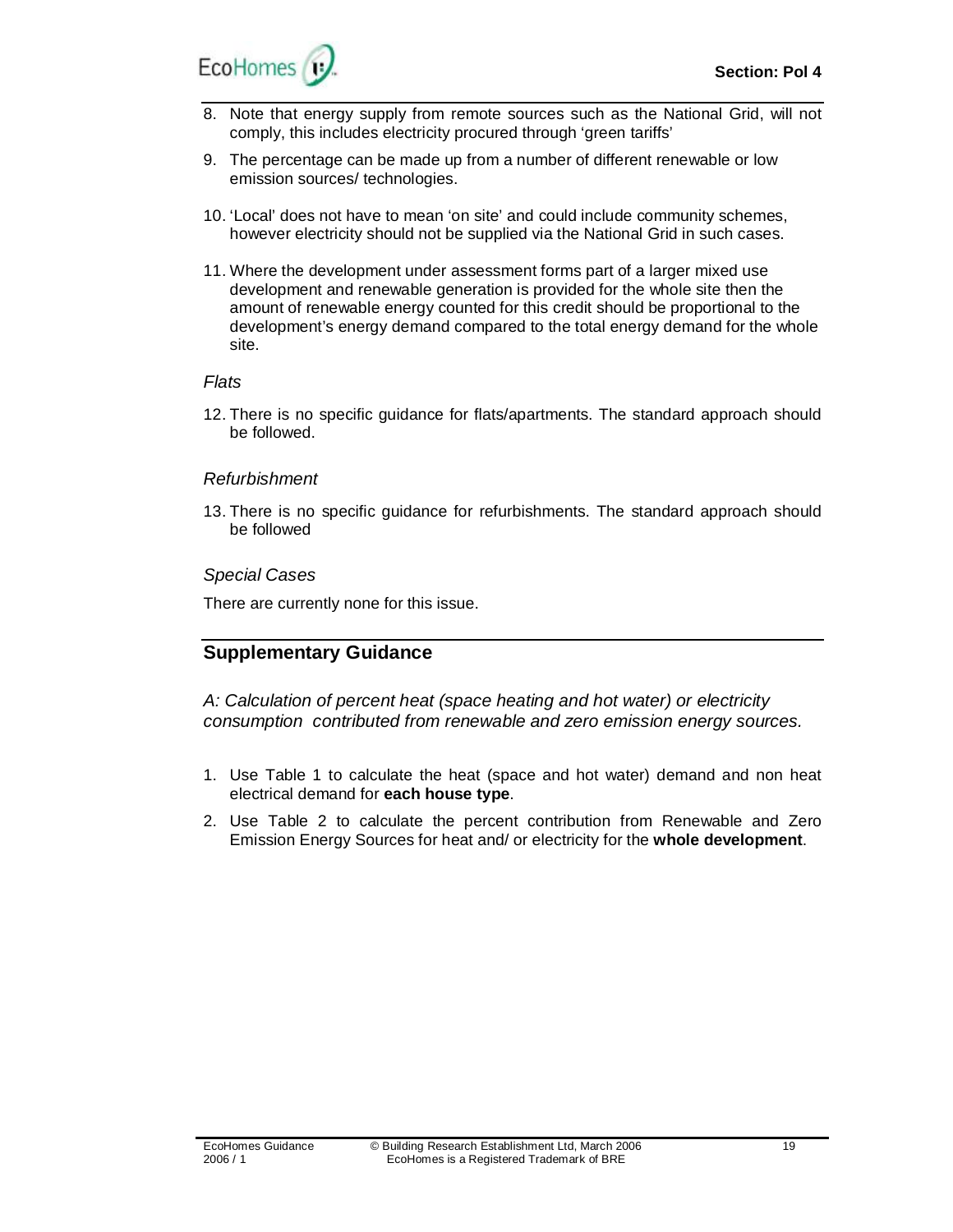- 8. Note that energy supply from remote sources such as the National Grid, will not comply, this includes electricity procured through 'green tariffs'
- 9. The percentage can be made up from a number of different renewable or low emission sources/ technologies.
- 10. 'Local' does not have to mean 'on site' and could include community schemes, however electricity should not be supplied via the National Grid in such cases.
- 11. Where the development under assessment forms part of a larger mixed use development and renewable generation is provided for the whole site then the amount of renewable energy counted for this credit should be proportional to the development's energy demand compared to the total energy demand for the whole site.

#### *Flats*

12. There is no specific guidance for flats/apartments. The standard approach should be followed.

#### *Refurbishment*

13. There is no specific guidance for refurbishments. The standard approach should be followed

#### *Special Cases*

There are currently none for this issue.

# **Supplementary Guidance**

*A: Calculation of percent heat (space heating and hot water) or electricity consumption contributed from renewable and zero emission energy sources.* 

- 1. Use Table 1 to calculate the heat (space and hot water) demand and non heat electrical demand for **each house type**.
- 2. Use Table 2 to calculate the percent contribution from Renewable and Zero Emission Energy Sources for heat and/ or electricity for the **whole development**.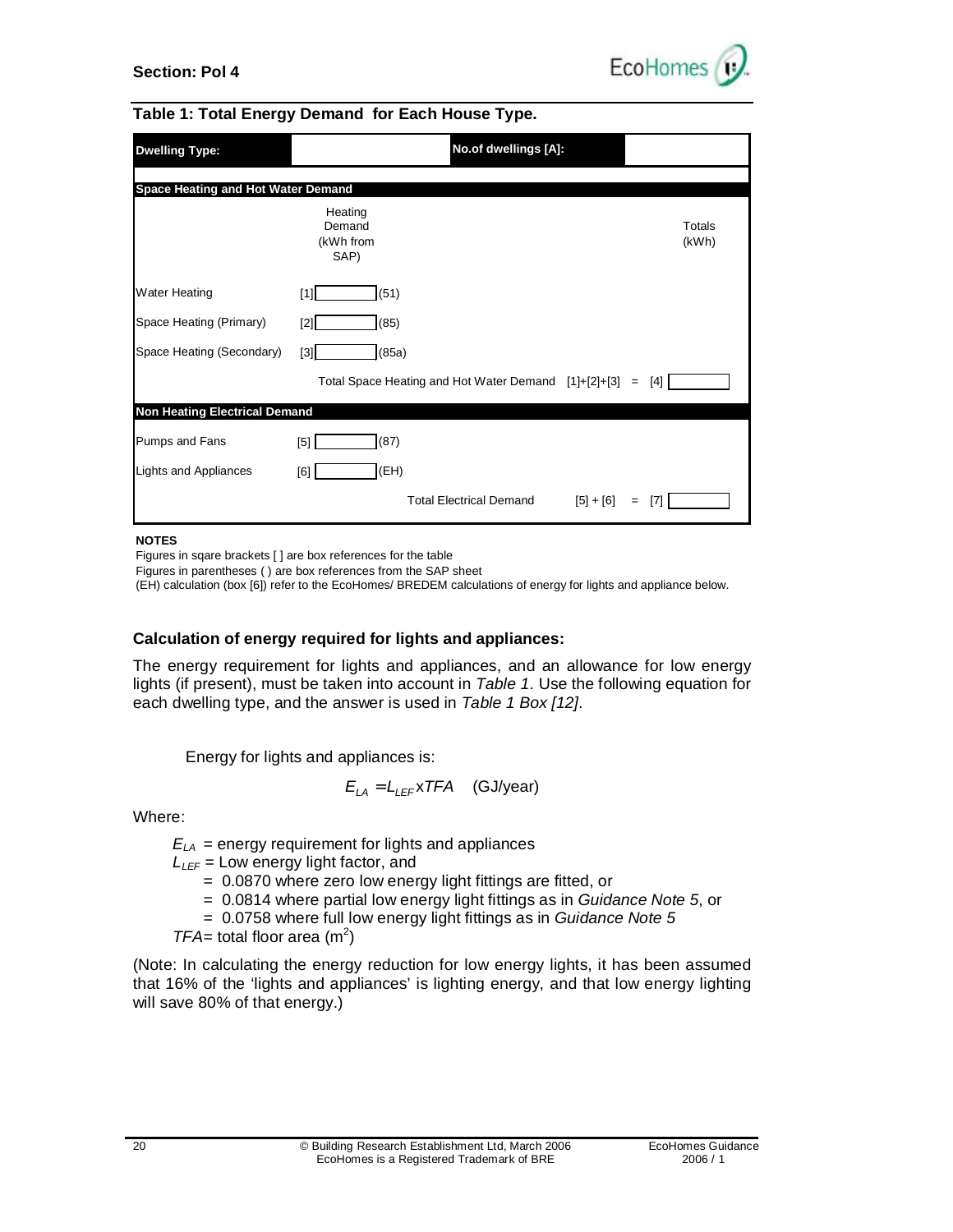



#### **Table 1: Total Energy Demand for Each House Type.**

| <b>Dwelling Type:</b>                | No.of dwellings [A]:                                 |                 |
|--------------------------------------|------------------------------------------------------|-----------------|
| Space Heating and Hot Water Demand   |                                                      |                 |
|                                      | Heating<br>Demand<br>(kWh from<br>SAP)               | Totals<br>(kWh) |
| <b>Water Heating</b>                 | (51)<br>[1]                                          |                 |
| Space Heating (Primary)              | (85)<br>[2]                                          |                 |
| Space Heating (Secondary)            | (85a)<br>$[3]$                                       |                 |
|                                      | Total Space Heating and Hot Water Demand [1]+[2]+[3] | $[4]$<br>$=$    |
| <b>Non Heating Electrical Demand</b> |                                                      |                 |
| Pumps and Fans                       | (87)<br>[5]                                          |                 |
| Lights and Appliances                | (EH)<br>[6]                                          |                 |
|                                      | <b>Total Electrical Demand</b><br>$[5] + [6]$        | [7]<br>$=$      |

#### **NOTES**

Figures in sqare brackets [ ] are box references for the table

Figures in parentheses ( ) are box references from the SAP sheet

(EH) calculation (box [6]) refer to the EcoHomes/ BREDEM calculations of energy for lights and appliance below.

#### **Calculation of energy required for lights and appliances:**

The energy requirement for lights and appliances, and an allowance for low energy lights (if present), must be taken into account in *Table 1*. Use the following equation for each dwelling type, and the answer is used in *Table 1 Box [12]*.

Energy for lights and appliances is:

$$
E_{LA} = L_{LEF} \times TFA \quad (GJ/year)
$$

Where:

 $E_{LA}$  = energy requirement for lights and appliances

- $L_{\text{LEF}}$  = Low energy light factor, and
	- = 0.0870 where zero low energy light fittings are fitted, or
	- = 0.0814 where partial low energy light fittings as in *Guidance Note 5*, or
	- = 0.0758 where full low energy light fittings as in *Guidance Note 5*
- $TFA = \text{total floor area (m}^2)$

(Note: In calculating the energy reduction for low energy lights, it has been assumed that 16% of the 'lights and appliances' is lighting energy, and that low energy lighting will save 80% of that energy.)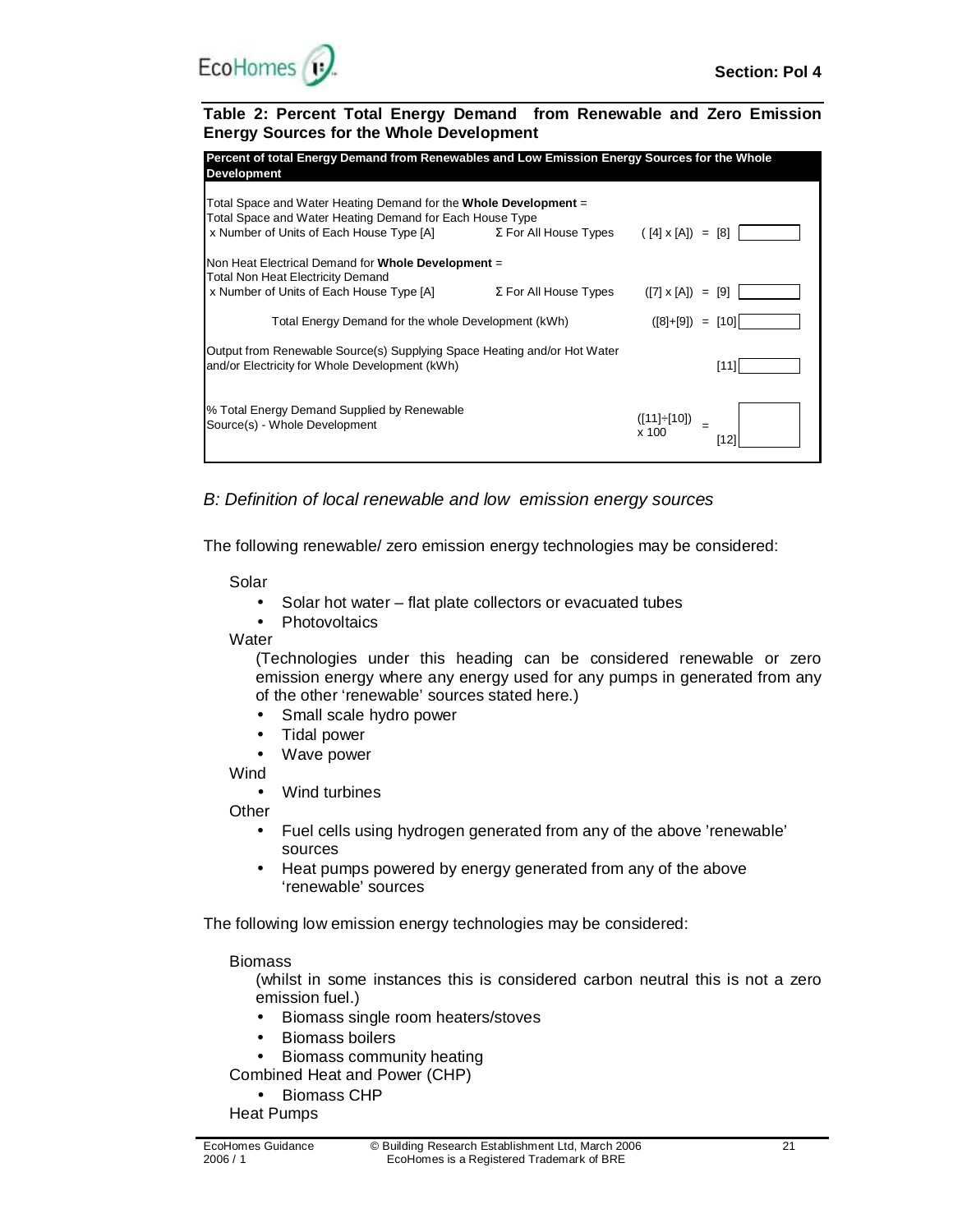

**Table 2: Percent Total Energy Demand from Renewable and Zero Emission Energy Sources for the Whole Development** 

| Percent of total Energy Demand from Renewables and Low Emission Energy Sources for the Whole<br><b>Development</b>                                                                                             |                              |                          |  |  |
|----------------------------------------------------------------------------------------------------------------------------------------------------------------------------------------------------------------|------------------------------|--------------------------|--|--|
| Total Space and Water Heating Demand for the <b>Whole Development</b> =<br>Total Space and Water Heating Demand for Each House Type<br>x Number of Units of Each House Type $[A]$ $\Sigma$ For All House Types |                              | $([4] \times [A]) = [8]$ |  |  |
| Non Heat Electrical Demand for Whole Development =<br>Total Non Heat Electricity Demand                                                                                                                        |                              |                          |  |  |
| x Number of Units of Each House Type [A]                                                                                                                                                                       | $\Sigma$ For All House Types | $([7] \times [A]) = [9]$ |  |  |
| Total Energy Demand for the whole Development (kWh)                                                                                                                                                            |                              | $([8]+[9]) = [10]$       |  |  |
| Output from Renewable Source(s) Supplying Space Heating and/or Hot Water<br>and/or Electricity for Whole Development (kWh)                                                                                     |                              | [11]                     |  |  |
| % Total Energy Demand Supplied by Renewable<br>Source(s) - Whole Development                                                                                                                                   |                              | ([11]÷[10])<br>x 100     |  |  |

*B: Definition of local renewable and low emission energy sources* 

The following renewable/ zero emission energy technologies may be considered:

Solar

- Solar hot water flat plate collectors or evacuated tubes
- Photovoltaics

**Water** 

(Technologies under this heading can be considered renewable or zero emission energy where any energy used for any pumps in generated from any of the other 'renewable' sources stated here.)

- Small scale hydro power
- Tidal power
- Wave power

**Wind** 

• Wind turbines

**Other** 

- Fuel cells using hydrogen generated from any of the above 'renewable' sources
- Heat pumps powered by energy generated from any of the above 'renewable' sources

The following low emission energy technologies may be considered:

Biomass

(whilst in some instances this is considered carbon neutral this is not a zero emission fuel.)

- Biomass single room heaters/stoves
- Biomass boilers

• Biomass community heating

Combined Heat and Power (CHP)

• Biomass CHP

Heat Pumps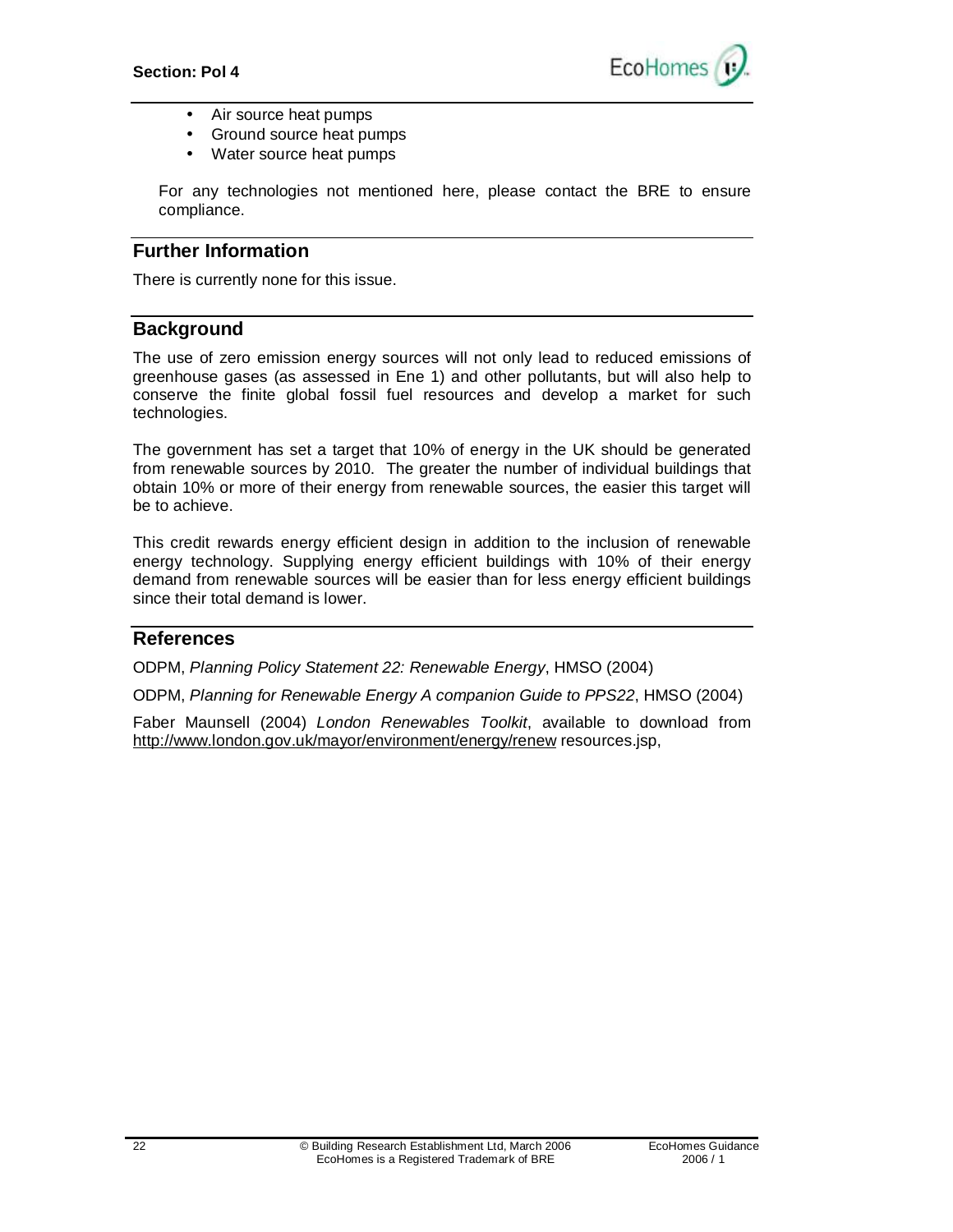

- Air source heat pumps
- Ground source heat pumps
- Water source heat pumps

For any technologies not mentioned here, please contact the BRE to ensure compliance.

## **Further Information**

There is currently none for this issue.

## **Background**

The use of zero emission energy sources will not only lead to reduced emissions of greenhouse gases (as assessed in Ene 1) and other pollutants, but will also help to conserve the finite global fossil fuel resources and develop a market for such technologies.

The government has set a target that 10% of energy in the UK should be generated from renewable sources by 2010. The greater the number of individual buildings that obtain 10% or more of their energy from renewable sources, the easier this target will be to achieve.

This credit rewards energy efficient design in addition to the inclusion of renewable energy technology. Supplying energy efficient buildings with 10% of their energy demand from renewable sources will be easier than for less energy efficient buildings since their total demand is lower.

#### **References**

ODPM, *Planning Policy Statement 22: Renewable Energy*, HMSO (2004)

ODPM, *Planning for Renewable Energy A companion Guide to PPS22*, HMSO (2004)

Faber Maunsell (2004) *London Renewables Toolkit*, available to download from <http://www.london.gov.uk/mayor/environment/energy/renew> resources.jsp,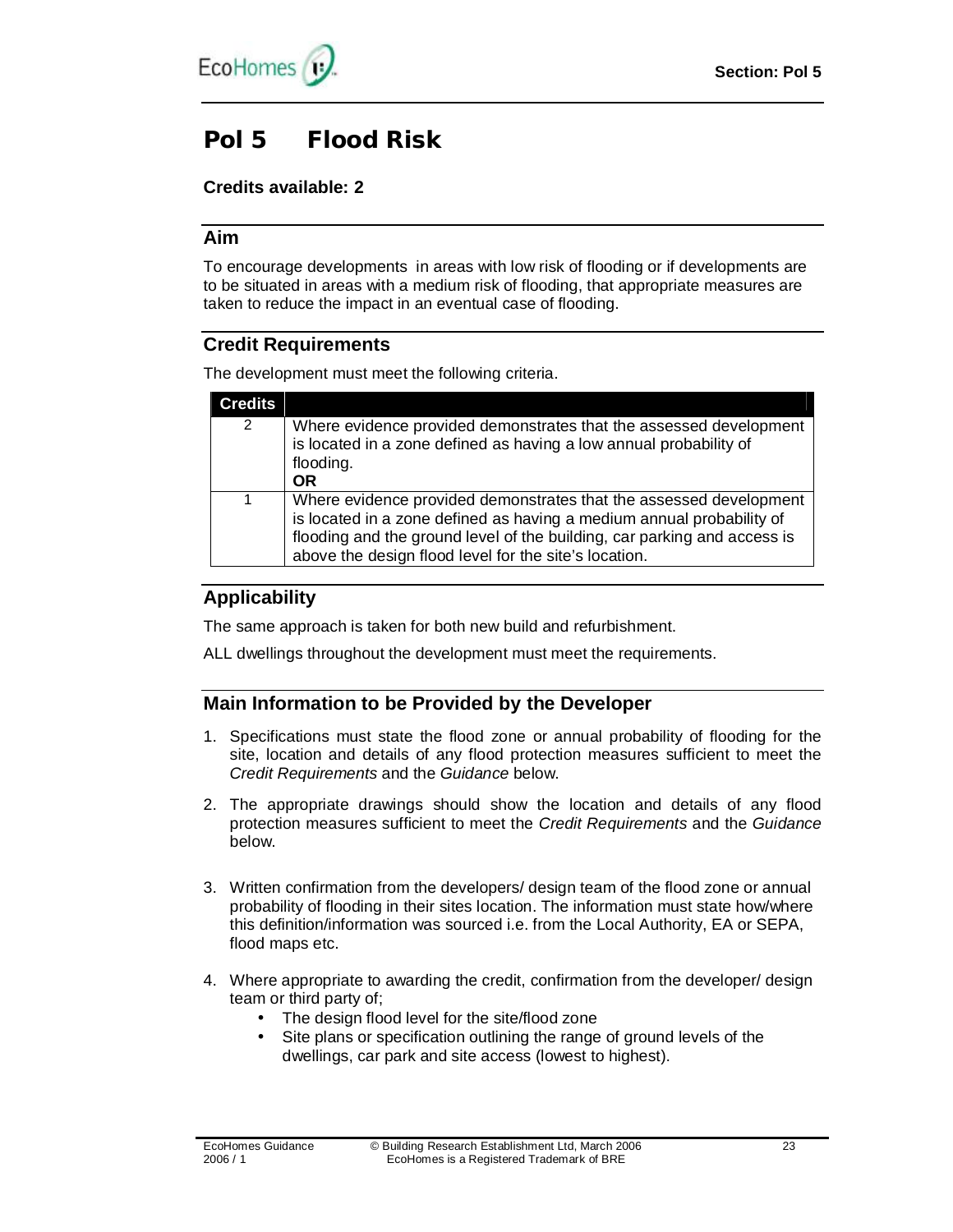

# **Pol 5 Flood Risk**

## **Credits available: 2**

## **Aim**

To encourage developments in areas with low risk of flooding or if developments are to be situated in areas with a medium risk of flooding, that appropriate measures are taken to reduce the impact in an eventual case of flooding.

# **Credit Requirements**

The development must meet the following criteria.

| <b>Credits</b> |                                                                                                                                                                                                                                                                                  |
|----------------|----------------------------------------------------------------------------------------------------------------------------------------------------------------------------------------------------------------------------------------------------------------------------------|
| 2              | Where evidence provided demonstrates that the assessed development<br>is located in a zone defined as having a low annual probability of<br>flooding.<br><b>OR</b>                                                                                                               |
| 1              | Where evidence provided demonstrates that the assessed development<br>is located in a zone defined as having a medium annual probability of<br>flooding and the ground level of the building, car parking and access is<br>above the design flood level for the site's location. |

# **Applicability**

The same approach is taken for both new build and refurbishment.

ALL dwellings throughout the development must meet the requirements.

# **Main Information to be Provided by the Developer**

- 1. Specifications must state the flood zone or annual probability of flooding for the site, location and details of any flood protection measures sufficient to meet the *Credit Requirements* and the *Guidance* below.
- 2. The appropriate drawings should show the location and details of any flood protection measures sufficient to meet the *Credit Requirements* and the *Guidance* below.
- 3. Written confirmation from the developers/ design team of the flood zone or annual probability of flooding in their sites location. The information must state how/where this definition/information was sourced i.e. from the Local Authority, EA or SEPA, flood maps etc.
- 4. Where appropriate to awarding the credit, confirmation from the developer/ design team or third party of;
	- The design flood level for the site/flood zone
	- Site plans or specification outlining the range of ground levels of the dwellings, car park and site access (lowest to highest).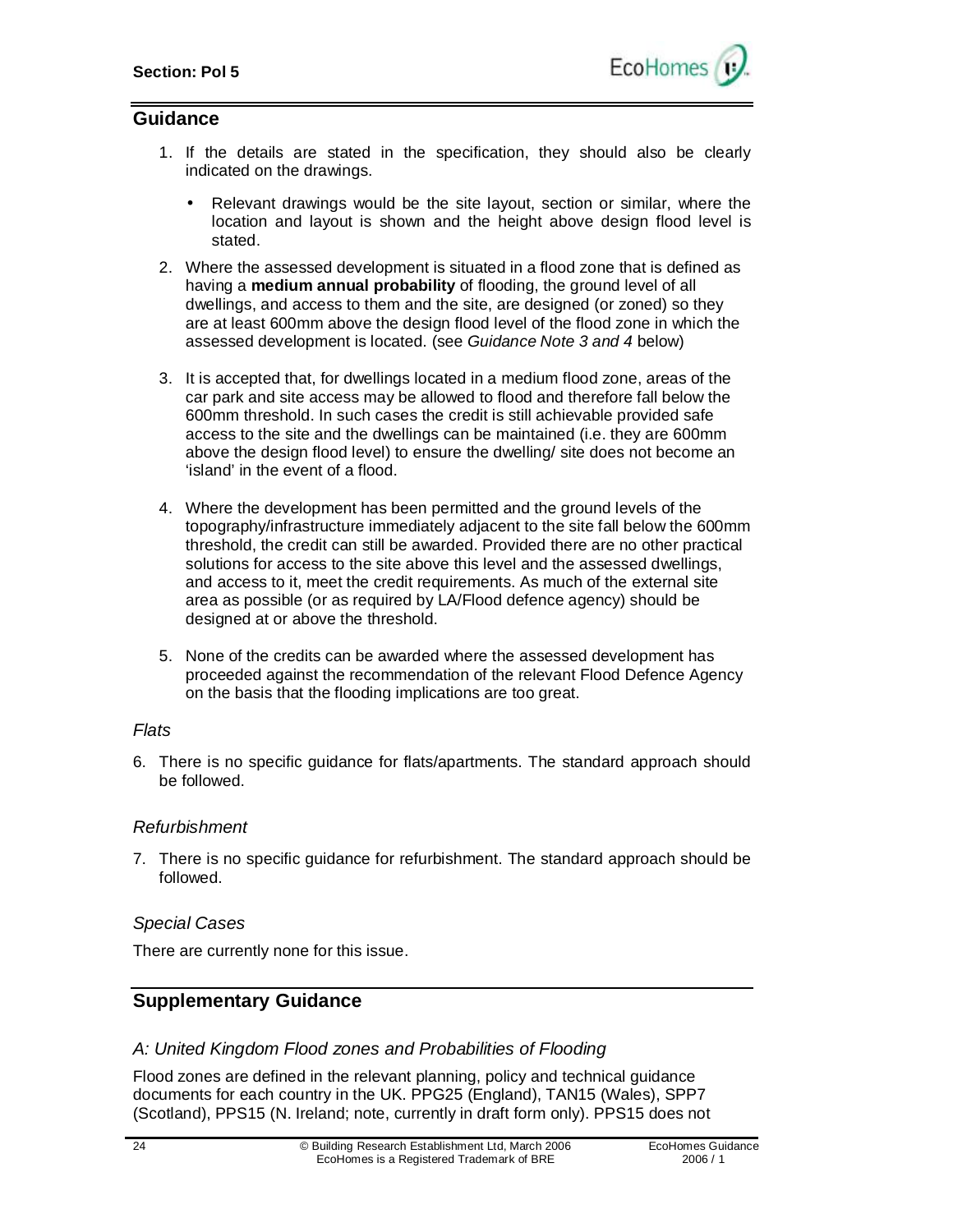

#### **Guidance**

- 1. If the details are stated in the specification, they should also be clearly indicated on the drawings.
	- Relevant drawings would be the site layout, section or similar, where the location and layout is shown and the height above design flood level is stated.
- 2. Where the assessed development is situated in a flood zone that is defined as having a **medium annual probability** of flooding, the ground level of all dwellings, and access to them and the site, are designed (or zoned) so they are at least 600mm above the design flood level of the flood zone in which the assessed development is located. (see *Guidance Note 3 and 4* below)
- 3. It is accepted that, for dwellings located in a medium flood zone, areas of the car park and site access may be allowed to flood and therefore fall below the 600mm threshold. In such cases the credit is still achievable provided safe access to the site and the dwellings can be maintained (i.e. they are 600mm above the design flood level) to ensure the dwelling/ site does not become an 'island' in the event of a flood.
- 4. Where the development has been permitted and the ground levels of the topography/infrastructure immediately adjacent to the site fall below the 600mm threshold, the credit can still be awarded. Provided there are no other practical solutions for access to the site above this level and the assessed dwellings, and access to it, meet the credit requirements. As much of the external site area as possible (or as required by LA/Flood defence agency) should be designed at or above the threshold.
- 5. None of the credits can be awarded where the assessed development has proceeded against the recommendation of the relevant Flood Defence Agency on the basis that the flooding implications are too great.

#### *Flats*

6. There is no specific guidance for flats/apartments. The standard approach should be followed.

#### *Refurbishment*

7. There is no specific guidance for refurbishment. The standard approach should be followed.

#### *Special Cases*

There are currently none for this issue.

## **Supplementary Guidance**

#### *A: United Kingdom Flood zones and Probabilities of Flooding*

Flood zones are defined in the relevant planning, policy and technical guidance documents for each country in the UK. PPG25 (England), TAN15 (Wales), SPP7 (Scotland), PPS15 (N. Ireland; note, currently in draft form only). PPS15 does not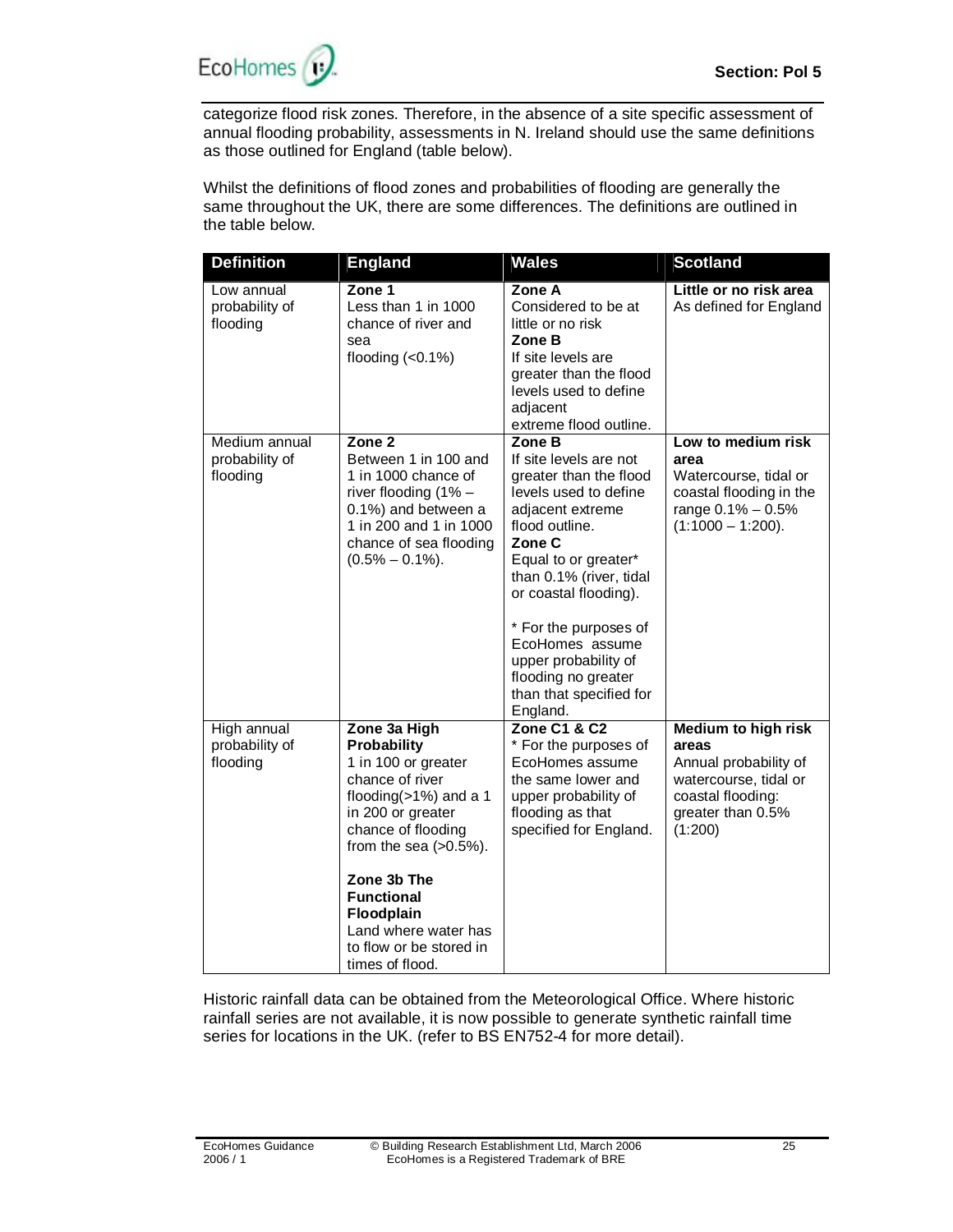

categorize flood risk zones. Therefore, in the absence of a site specific assessment of annual flooding probability, assessments in N. Ireland should use the same definitions as those outlined for England (table below).

Whilst the definitions of flood zones and probabilities of flooding are generally the same throughout the UK, there are some differences. The definitions are outlined in the table below.

| <b>Definition</b>                           | <b>England</b>                                                                                                                                                                                                                                                                                    | <b>Wales</b>                                                                                                                                                                                                                                                                                                                                      | <b>Scotland</b>                                                                                                                            |
|---------------------------------------------|---------------------------------------------------------------------------------------------------------------------------------------------------------------------------------------------------------------------------------------------------------------------------------------------------|---------------------------------------------------------------------------------------------------------------------------------------------------------------------------------------------------------------------------------------------------------------------------------------------------------------------------------------------------|--------------------------------------------------------------------------------------------------------------------------------------------|
| Low annual<br>probability of<br>flooding    | Zone 1<br>Less than 1 in 1000<br>chance of river and<br>sea<br>flooding $(0.1\%)$                                                                                                                                                                                                                 | Zone A<br>Considered to be at<br>little or no risk<br>Zone B<br>If site levels are<br>greater than the flood<br>levels used to define<br>adjacent<br>extreme flood outline.                                                                                                                                                                       | Little or no risk area<br>As defined for England                                                                                           |
| Medium annual<br>probability of<br>flooding | Zone 2<br>Between 1 in 100 and<br>1 in 1000 chance of<br>river flooding (1% -<br>0.1%) and between a<br>1 in 200 and 1 in 1000<br>chance of sea flooding<br>$(0.5\% - 0.1\%).$                                                                                                                    | Zone B<br>If site levels are not<br>greater than the flood<br>levels used to define<br>adjacent extreme<br>flood outline.<br>Zone C<br>Equal to or greater*<br>than 0.1% (river, tidal<br>or coastal flooding).<br>* For the purposes of<br>EcoHomes assume<br>upper probability of<br>flooding no greater<br>than that specified for<br>England. | Low to medium risk<br>area<br>Watercourse, tidal or<br>coastal flooding in the<br>range 0.1% - 0.5%<br>$(1:1000 - 1:200)$ .                |
| High annual<br>probability of<br>flooding   | Zone 3a High<br>Probability<br>1 in 100 or greater<br>chance of river<br>flooding $(>1%)$ and a 1<br>in 200 or greater<br>chance of flooding<br>from the sea $(>0.5\%)$ .<br>Zone 3b The<br><b>Functional</b><br>Floodplain<br>Land where water has<br>to flow or be stored in<br>times of flood. | <b>Zone C1 &amp; C2</b><br>* For the purposes of<br>EcoHomes assume<br>the same lower and<br>upper probability of<br>flooding as that<br>specified for England.                                                                                                                                                                                   | <b>Medium to high risk</b><br>areas<br>Annual probability of<br>watercourse, tidal or<br>coastal flooding:<br>greater than 0.5%<br>(1:200) |

Historic rainfall data can be obtained from the Meteorological Office. Where historic rainfall series are not available, it is now possible to generate synthetic rainfall time series for locations in the UK. (refer to BS EN752-4 for more detail).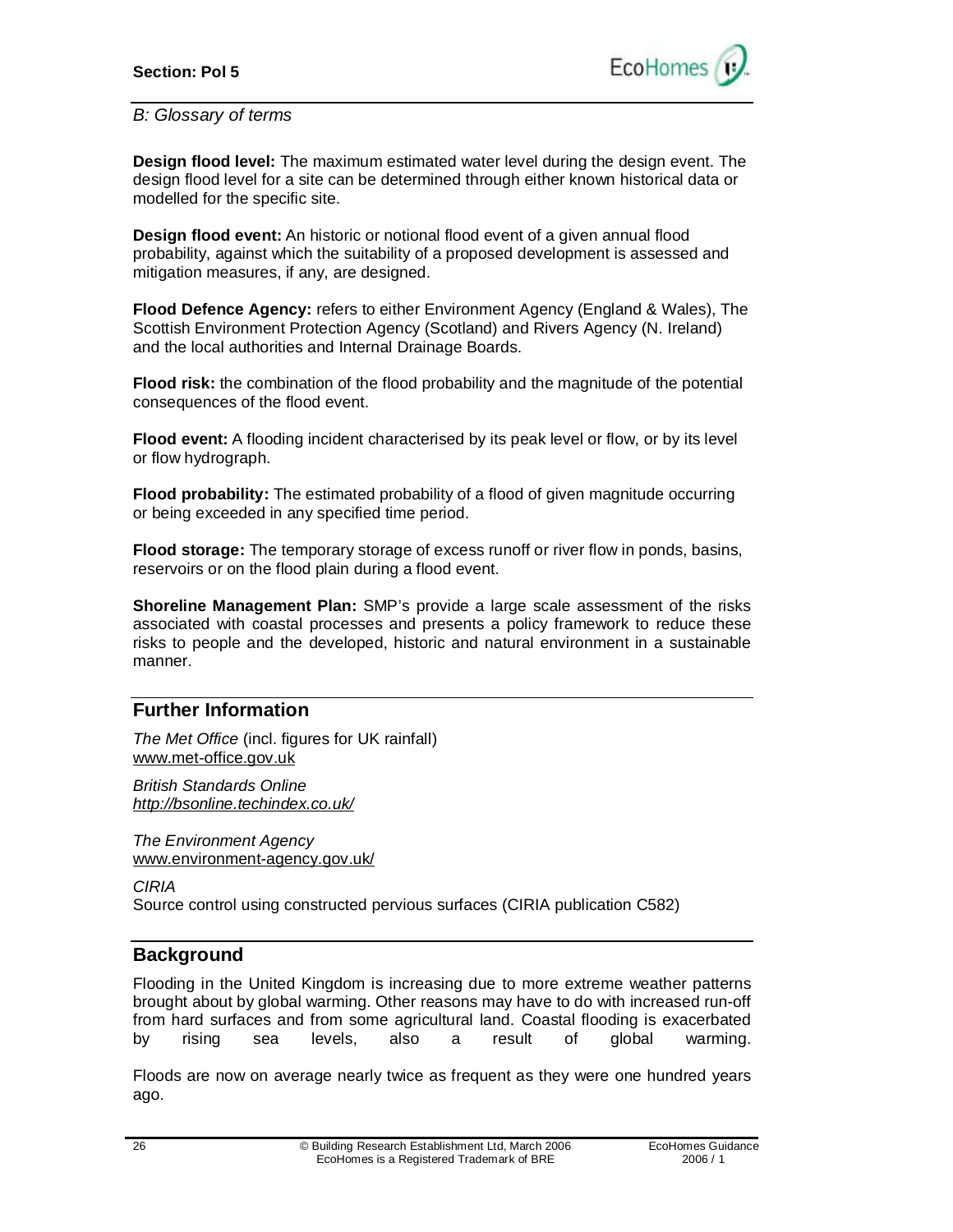

#### *B: Glossary of terms*

**Design flood level:** The maximum estimated water level during the design event. The design flood level for a site can be determined through either known historical data or modelled for the specific site.

**Design flood event:** An historic or notional flood event of a given annual flood probability, against which the suitability of a proposed development is assessed and mitigation measures, if any, are designed.

**Flood Defence Agency:** refers to either Environment Agency (England & Wales), The Scottish Environment Protection Agency (Scotland) and Rivers Agency (N. Ireland) and the local authorities and Internal Drainage Boards.

**Flood risk:** the combination of the flood probability and the magnitude of the potential consequences of the flood event.

**Flood event:** A flooding incident characterised by its peak level or flow, or by its level or flow hydrograph.

**Flood probability:** The estimated probability of a flood of given magnitude occurring or being exceeded in any specified time period.

**Flood storage:** The temporary storage of excess runoff or river flow in ponds, basins, reservoirs or on the flood plain during a flood event.

**Shoreline Management Plan:** SMP's provide a large scale assessment of the risks associated with coastal processes and presents a policy framework to reduce these risks to people and the developed, historic and natural environment in a sustainable manner.

## **Further Information**

*The Met Office* (incl. figures for UK rainfall) [www.met-office.gov.uk](http://www.met-office.gov.uk)

*British Standards Online <http://bsonline.techindex.co.uk/>*

*The Environment Agency*  [www.environment-agency.gov.uk/](http://www.environment-agency.gov.uk/)

*CIRIA*  Source control using constructed pervious surfaces (CIRIA publication C582)

## **Background**

Flooding in the United Kingdom is increasing due to more extreme weather patterns brought about by global warming. Other reasons may have to do with increased run-off from hard surfaces and from some agricultural land. Coastal flooding is exacerbated by rising sea levels, also a result of global warming.

Floods are now on average nearly twice as frequent as they were one hundred years ago.